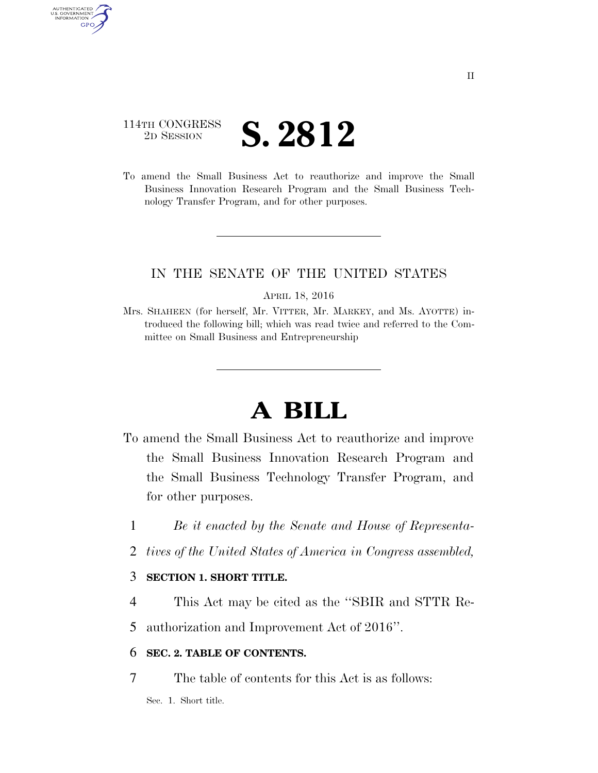# 114TH CONGRESS <sup>2D SESSION</sup> **S. 2812**

AUTHENTICATED U.S. GOVERNMENT GPO

> To amend the Small Business Act to reauthorize and improve the Small Business Innovation Research Program and the Small Business Technology Transfer Program, and for other purposes.

### IN THE SENATE OF THE UNITED STATES

APRIL 18, 2016

Mrs. SHAHEEN (for herself, Mr. VITTER, Mr. MARKEY, and Ms. AYOTTE) introduced the following bill; which was read twice and referred to the Committee on Small Business and Entrepreneurship

# **A BILL**

- To amend the Small Business Act to reauthorize and improve the Small Business Innovation Research Program and the Small Business Technology Transfer Program, and for other purposes.
	- 1 *Be it enacted by the Senate and House of Representa-*
	- 2 *tives of the United States of America in Congress assembled,*

### 3 **SECTION 1. SHORT TITLE.**

4 This Act may be cited as the ''SBIR and STTR Re-

5 authorization and Improvement Act of 2016''.

### 6 **SEC. 2. TABLE OF CONTENTS.**

7 The table of contents for this Act is as follows:

Sec. 1. Short title.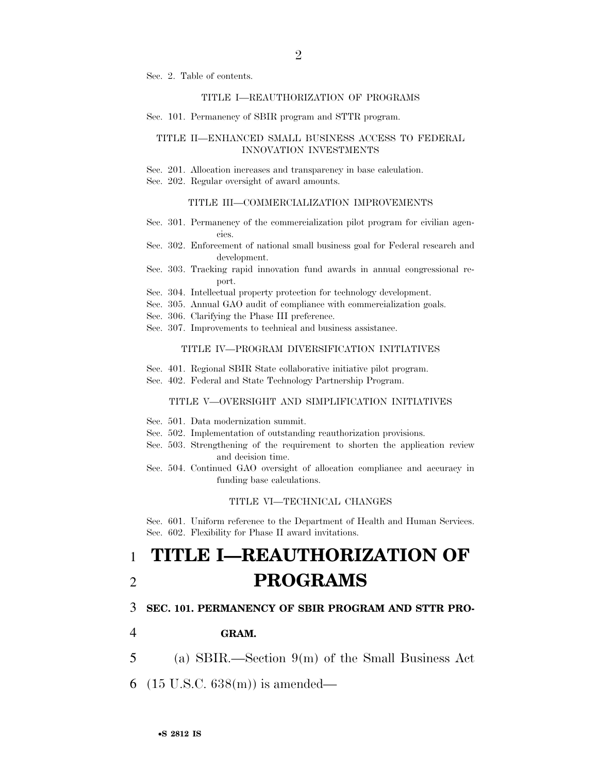Sec. 2. Table of contents.

#### TITLE I—REAUTHORIZATION OF PROGRAMS

Sec. 101. Permanency of SBIR program and STTR program.

#### TITLE II—ENHANCED SMALL BUSINESS ACCESS TO FEDERAL INNOVATION INVESTMENTS

- Sec. 201. Allocation increases and transparency in base calculation.
- Sec. 202. Regular oversight of award amounts.

#### TITLE III—COMMERCIALIZATION IMPROVEMENTS

- Sec. 301. Permanency of the commercialization pilot program for civilian agencies.
- Sec. 302. Enforcement of national small business goal for Federal research and development.
- Sec. 303. Tracking rapid innovation fund awards in annual congressional report.
- Sec. 304. Intellectual property protection for technology development.
- Sec. 305. Annual GAO audit of compliance with commercialization goals.

Sec. 306. Clarifying the Phase III preference.

Sec. 307. Improvements to technical and business assistance.

#### TITLE IV—PROGRAM DIVERSIFICATION INITIATIVES

- Sec. 401. Regional SBIR State collaborative initiative pilot program.
- Sec. 402. Federal and State Technology Partnership Program.

#### TITLE V—OVERSIGHT AND SIMPLIFICATION INITIATIVES

- Sec. 501. Data modernization summit.
- Sec. 502. Implementation of outstanding reauthorization provisions.
- Sec. 503. Strengthening of the requirement to shorten the application review and decision time.
- Sec. 504. Continued GAO oversight of allocation compliance and accuracy in funding base calculations.

#### TITLE VI—TECHNICAL CHANGES

Sec. 601. Uniform reference to the Department of Health and Human Services. Sec. 602. Flexibility for Phase II award invitations.

# 1 **TITLE I—REAUTHORIZATION OF**  2 **PROGRAMS**

#### 3 **SEC. 101. PERMANENCY OF SBIR PROGRAM AND STTR PRO-**

- 4 **GRAM.**
- 5 (a) SBIR.—Section 9(m) of the Small Business Act
- 6 (15 U.S.C. 638(m)) is amended—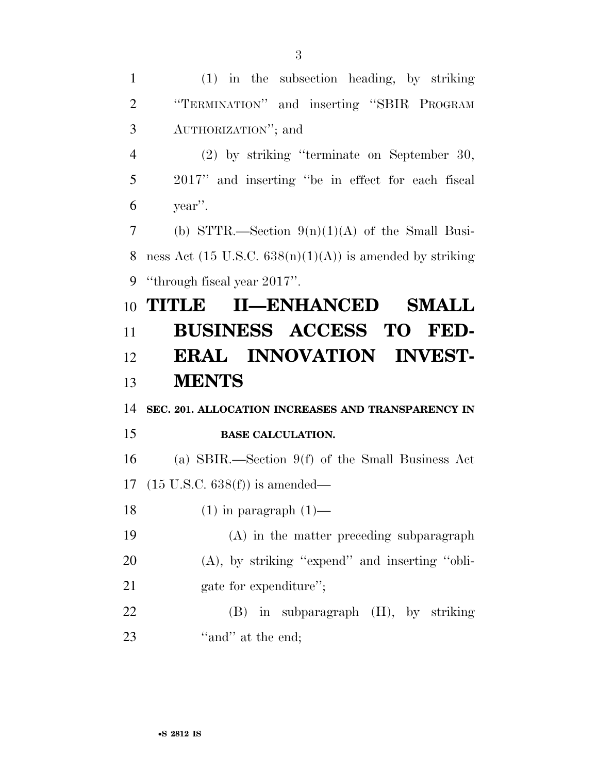(1) in the subsection heading, by striking ''TERMINATION'' and inserting ''SBIR PROGRAM AUTHORIZATION''; and (2) by striking ''terminate on September 30, 2017'' and inserting ''be in effect for each fiscal year''. (b) STTR.—Section 9(n)(1)(A) of the Small Busi-8 ness Act (15 U.S.C.  $638(n)(1)(A)$ ) is amended by striking ''through fiscal year 2017''. **TITLE II—ENHANCED SMALL BUSINESS ACCESS TO FED- ERAL INNOVATION INVEST- MENTS SEC. 201. ALLOCATION INCREASES AND TRANSPARENCY IN BASE CALCULATION.**  (a) SBIR.—Section 9(f) of the Small Business Act (15 U.S.C. 638(f)) is amended—  $(1)$  in paragraph  $(1)$ — (A) in the matter preceding subparagraph (A), by striking ''expend'' and inserting ''obli-21 gate for expenditure"; (B) in subparagraph (H), by striking 23 "and" at the end;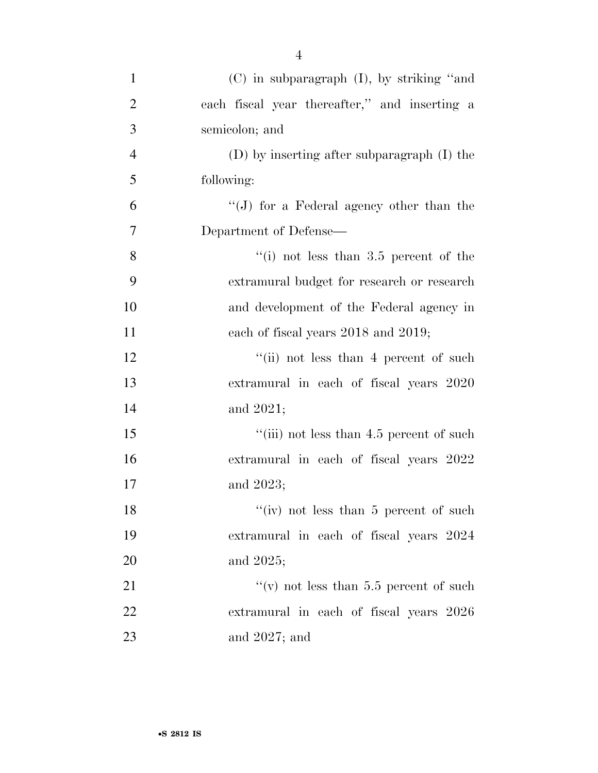| $\mathbf{1}$   | $(C)$ in subparagraph $(I)$ , by striking "and |
|----------------|------------------------------------------------|
| $\overline{2}$ | each fiscal year thereafter," and inserting a  |
| 3              | semicolon; and                                 |
| $\overline{4}$ | (D) by inserting after subparagraph (I) the    |
| 5              | following:                                     |
| 6              | "(J) for a Federal agency other than the       |
| 7              | Department of Defense—                         |
| 8              | "(i) not less than $3.5$ percent of the        |
| 9              | extramural budget for research or research     |
| 10             | and development of the Federal agency in       |
| 11             | each of fiscal years 2018 and 2019;            |
| 12             | "(ii) not less than 4 percent of such          |
| 13             | extramural in each of fiscal years 2020        |
| 14             | and 2021;                                      |
| 15             | "(iii) not less than 4.5 percent of such       |
| 16             | extramural in each of fiscal years 2022        |
| 17             | and 2023;                                      |
| 18             | "(iv) not less than $5$ percent of such        |
| 19             | extramural in each of fiscal years 2024        |
| 20             | and 2025;                                      |
| 21             | "(v) not less than 5.5 percent of such         |
| 22             | extramural in each of fiscal years 2026        |
| 23             | and $2027$ ; and                               |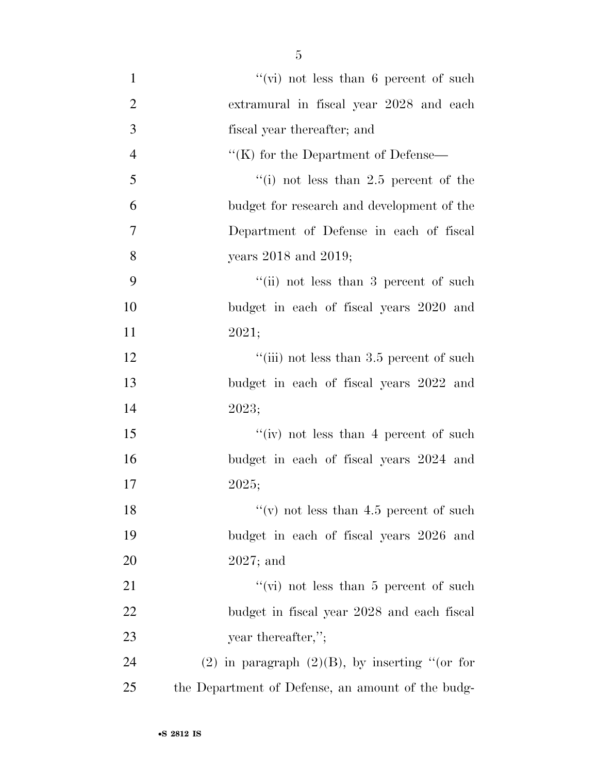| $\mathbf{1}$   | $``$ (vi) not less than 6 percent of such         |
|----------------|---------------------------------------------------|
| $\overline{2}$ | extramural in fiscal year 2028 and each           |
| 3              | fiscal year thereafter; and                       |
| $\overline{4}$ | "(K) for the Department of Defense—               |
| 5              | "(i) not less than $2.5$ percent of the           |
| 6              | budget for research and development of the        |
| 7              | Department of Defense in each of fiscal           |
| 8              | years $2018$ and $2019$ ;                         |
| 9              | "(ii) not less than 3 percent of such             |
| 10             | budget in each of fiscal years 2020 and           |
| 11             | 2021;                                             |
| 12             | "(iii) not less than 3.5 percent of such          |
| 13             | budget in each of fiscal years 2022 and           |
| 14             | 2023;                                             |
| 15             | "(iv) not less than 4 percent of such             |
| 16             | budget in each of fiscal years 2024 and           |
| 17             | 2025;                                             |
| 18             | "(v) not less than $4.5$ percent of such          |
| 19             | budget in each of fiscal years 2026 and           |
| 20             | $2027$ ; and                                      |
| 21             | "(vi) not less than 5 percent of such             |
| 22             | budget in fiscal year 2028 and each fiscal        |
| 23             | year thereafter,";                                |
| 24             | (2) in paragraph $(2)(B)$ , by inserting "(or for |
| 25             | the Department of Defense, an amount of the budg- |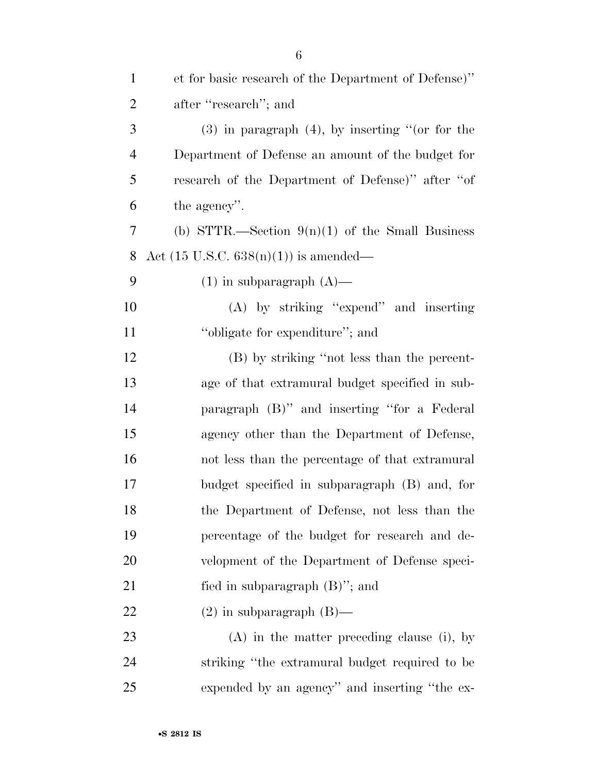| $\mathbf{1}$   | et for basic research of the Department of Defense)" |
|----------------|------------------------------------------------------|
| $\overline{2}$ | after "research"; and                                |
| 3              | $(3)$ in paragraph $(4)$ , by inserting "(or for the |
| $\overline{4}$ | Department of Defense an amount of the budget for    |
| 5              | research of the Department of Defense)" after "of    |
| 6              | the agency".                                         |
| $\overline{7}$ | (b) STTR.—Section $9(n)(1)$ of the Small Business    |
| 8              | Act $(15 \text{ U.S.C. } 638(n)(1))$ is amended—     |
| 9              | $(1)$ in subparagraph $(A)$ —                        |
| 10             | $(A)$ by striking "expend" and inserting             |
| 11             | "obligate for expenditure"; and                      |
| 12             | (B) by striking "not less than the percent-          |
| 13             | age of that extramural budget specified in sub-      |
| 14             | paragraph (B)" and inserting "for a Federal          |
| 15             | agency other than the Department of Defense,         |
| 16             | not less than the percentage of that extramural      |
| 17             | budget specified in subparagraph (B) and, for        |
| 18             | the Department of Defense, not less than the         |
| 19             | percentage of the budget for research and de-        |
| 20             | velopment of the Department of Defense speci-        |
| 21             | fied in subparagraph $(B)$ "; and                    |
| 22             | $(2)$ in subparagraph $(B)$ —                        |
| 23             | $(A)$ in the matter preceding clause (i), by         |
| 24             | striking "the extramural budget required to be       |
| 25             | expended by an agency" and inserting "the ex-        |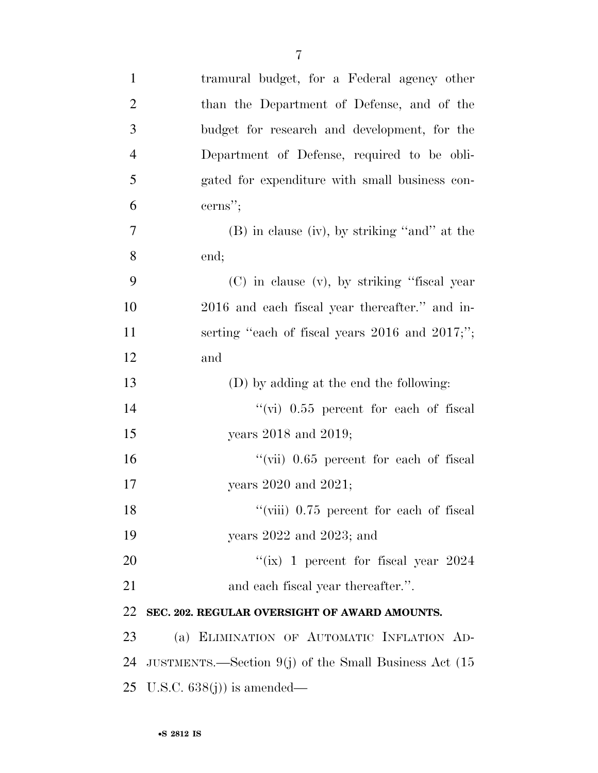| $\mathbf{1}$   | tramural budget, for a Federal agency other             |
|----------------|---------------------------------------------------------|
| $\overline{2}$ | than the Department of Defense, and of the              |
| 3              | budget for research and development, for the            |
| $\overline{4}$ | Department of Defense, required to be obli-             |
| 5              | gated for expenditure with small business con-          |
| 6              | cerns";                                                 |
| 7              | $(B)$ in clause (iv), by striking "and" at the          |
| 8              | end;                                                    |
| 9              | $(C)$ in clause $(v)$ , by striking "fiscal year        |
| 10             | 2016 and each fiscal year thereafter." and in-          |
| 11             | serting "each of fiscal years $2016$ and $2017;$ ";     |
| 12             | and                                                     |
| 13             | (D) by adding at the end the following:                 |
| 14             | "(vi) $0.55$ percent for each of fiscal                 |
| 15             | years $2018$ and $2019$ ;                               |
| 16             | "(vii) $0.65$ percent for each of fiscal                |
| 17             | years $2020$ and $2021$ ;                               |
| 18             | $\lq$ (viii) 0.75 percent for each of fiscal            |
| 19             | years $2022$ and $2023$ ; and                           |
| 20             | "(ix) 1 percent for fiscal year $2024$                  |
| 21             | and each fiscal year thereafter.".                      |
| 22             | SEC. 202. REGULAR OVERSIGHT OF AWARD AMOUNTS.           |
| 23             | (a) ELIMINATION OF AUTOMATIC INFLATION AD-              |
| 24             | JUSTMENTS.—Section $9(j)$ of the Small Business Act (15 |
| 25             | U.S.C. $638(j)$ is amended—                             |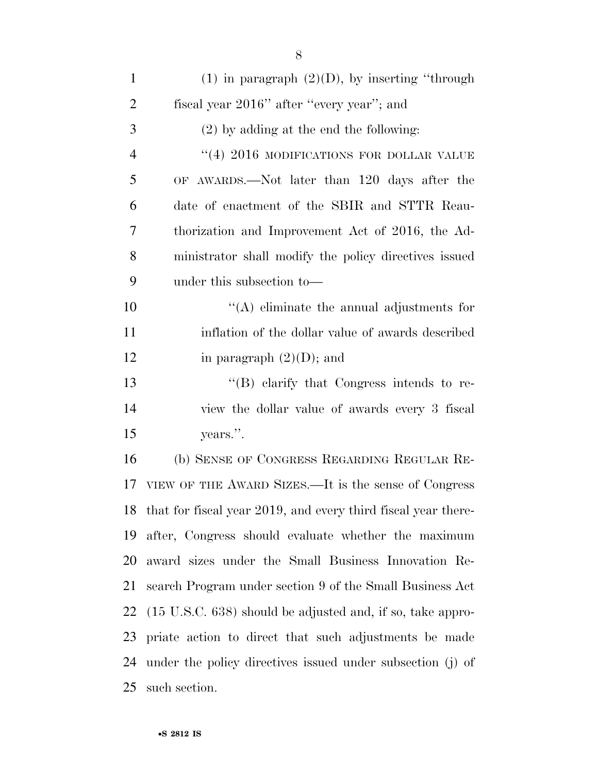| $\mathbf{1}$   | $(1)$ in paragraph $(2)(D)$ , by inserting "through                   |
|----------------|-----------------------------------------------------------------------|
| $\overline{2}$ | fiscal year 2016" after "every year"; and                             |
| 3              | $(2)$ by adding at the end the following:                             |
| $\overline{4}$ | $(4)$ 2016 MODIFICATIONS FOR DOLLAR VALUE                             |
| 5              | OF AWARDS.—Not later than 120 days after the                          |
| 6              | date of enactment of the SBIR and STTR Reau-                          |
| 7              | thorization and Improvement Act of 2016, the Ad-                      |
| 8              | ministrator shall modify the policy directives issued                 |
| 9              | under this subsection to—                                             |
| 10             | $\lq\lq$ eliminate the annual adjustments for                         |
| 11             | inflation of the dollar value of awards described                     |
| 12             | in paragraph $(2)(D)$ ; and                                           |
| 13             | $\lq\lq (B)$ clarify that Congress intends to re-                     |
| 14             | view the dollar value of awards every 3 fiscal                        |
| 15             | years.".                                                              |
| 16             | (b) SENSE OF CONGRESS REGARDING REGULAR RE-                           |
| 17             | VIEW OF THE AWARD SIZES.—It is the sense of Congress                  |
|                | 18 that for fiscal year 2019, and every third fiscal year there-      |
| 19             | after, Congress should evaluate whether the maximum                   |
| 20             | award sizes under the Small Business Innovation Re-                   |
| 21             | search Program under section 9 of the Small Business Act              |
| 22             | $(15 \text{ U.S.C. } 638)$ should be adjusted and, if so, take appro- |
| 23             | priate action to direct that such adjustments be made                 |
| 24             | under the policy directives issued under subsection (j) of            |
| 25             | such section.                                                         |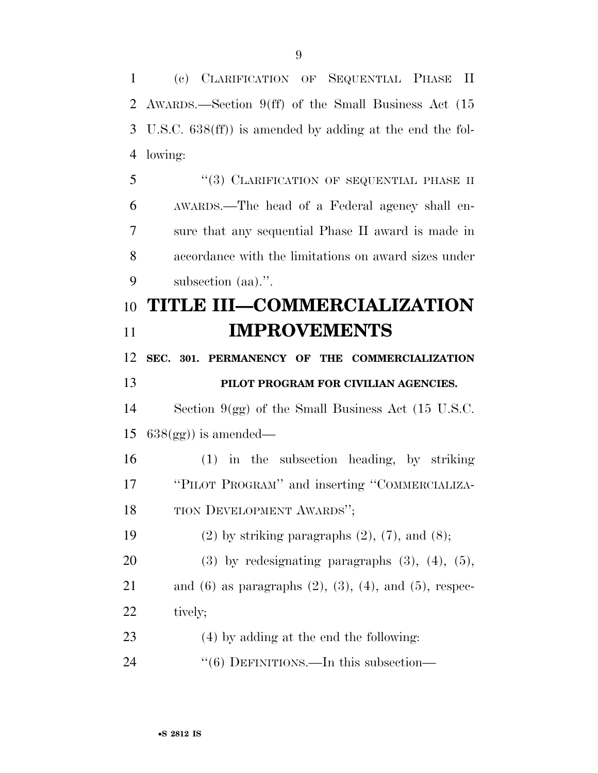(c) CLARIFICATION OF SEQUENTIAL PHASE II AWARDS.—Section 9(ff) of the Small Business Act (15 U.S.C. 638(ff)) is amended by adding at the end the fol- lowing: 5 "(3) CLARIFICATION OF SEQUENTIAL PHASE II AWARDS.—The head of a Federal agency shall en-sure that any sequential Phase II award is made in

 accordance with the limitations on award sizes under subsection (aa).''.

# **TITLE III—COMMERCIALIZATION IMPROVEMENTS**

**SEC. 301. PERMANENCY OF THE COMMERCIALIZATION** 

## **PILOT PROGRAM FOR CIVILIAN AGENCIES.**

 Section 9(gg) of the Small Business Act (15 U.S.C. 15  $638(gg)$  is amended—

 (1) in the subsection heading, by striking ''PILOT PROGRAM'' and inserting ''COMMERCIALIZA-TION DEVELOPMENT AWARDS'';

19 (2) by striking paragraphs  $(2)$ ,  $(7)$ , and  $(8)$ ;

20 (3) by redesignating paragraphs  $(3)$ ,  $(4)$ ,  $(5)$ ,

21 and (6) as paragraphs  $(2)$ ,  $(3)$ ,  $(4)$ , and  $(5)$ , respec-22 tively;

- (4) by adding at the end the following:
- 24 "(6) DEFINITIONS.—In this subsection—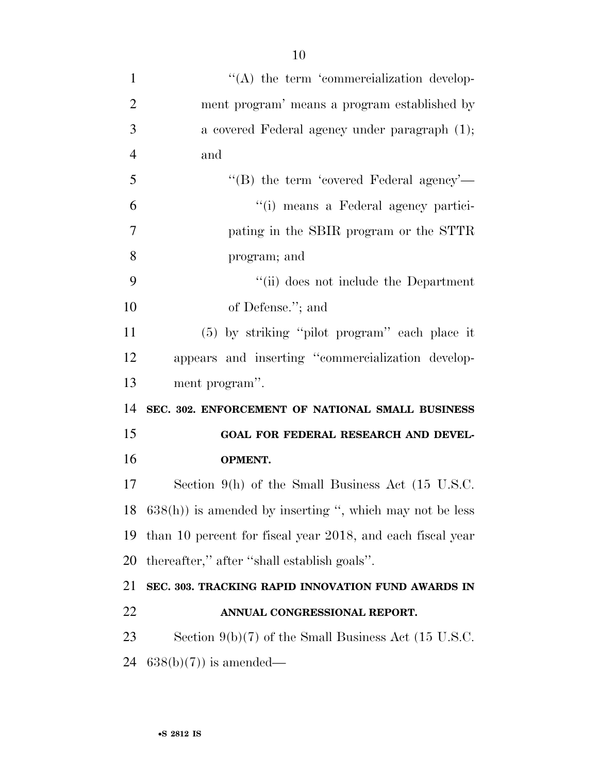$\langle (A)$  the term 'commercialization develop- ment program' means a program established by a covered Federal agency under paragraph (1); and ''(B) the term 'covered Federal agency'— ''(i) means a Federal agency partici- pating in the SBIR program or the STTR program; and ''(ii) does not include the Department of Defense.''; and (5) by striking ''pilot program'' each place it appears and inserting ''commercialization develop- ment program''. **SEC. 302. ENFORCEMENT OF NATIONAL SMALL BUSINESS GOAL FOR FEDERAL RESEARCH AND DEVEL- OPMENT.**  Section 9(h) of the Small Business Act (15 U.S.C. 638(h)) is amended by inserting '', which may not be less than 10 percent for fiscal year 2018, and each fiscal year thereafter,'' after ''shall establish goals''. **SEC. 303. TRACKING RAPID INNOVATION FUND AWARDS IN ANNUAL CONGRESSIONAL REPORT.**  Section 9(b)(7) of the Small Business Act (15 U.S.C.  $638(b)(7)$  is amended—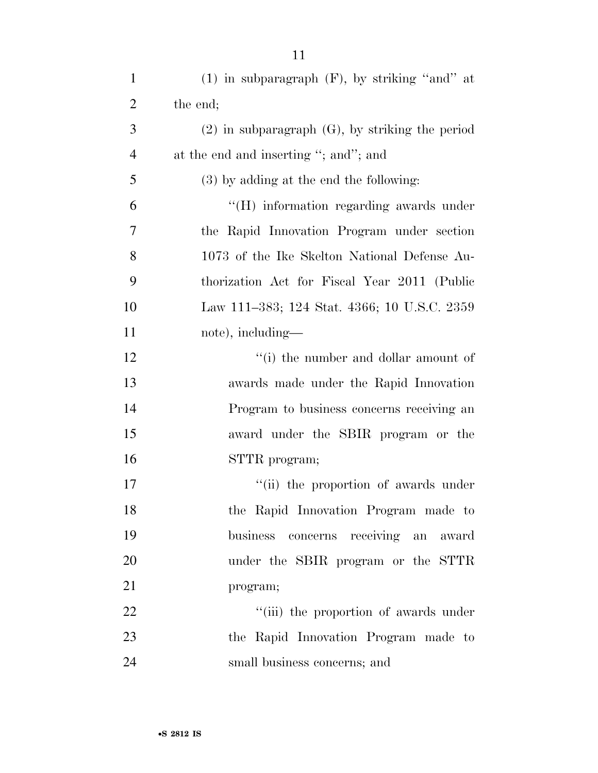| $\mathbf{1}$   | $(1)$ in subparagraph $(F)$ , by striking "and" at   |
|----------------|------------------------------------------------------|
| $\overline{2}$ | the end;                                             |
| 3              | $(2)$ in subparagraph $(G)$ , by striking the period |
| $\overline{4}$ | at the end and inserting "; and"; and                |
| 5              | $(3)$ by adding at the end the following:            |
| 6              | "(H) information regarding awards under              |
| 7              | the Rapid Innovation Program under section           |
| 8              | 1073 of the Ike Skelton National Defense Au-         |
| 9              | thorization Act for Fiscal Year 2011 (Public         |
| 10             | Law 111–383; 124 Stat. 4366; 10 U.S.C. 2359          |
| 11             | note), including—                                    |
| 12             | "(i) the number and dollar amount of                 |
| 13             | awards made under the Rapid Innovation               |
| 14             | Program to business concerns receiving an            |
| 15             | award under the SBIR program or the                  |
| 16             | STTR program;                                        |
| 17             | "(ii) the proportion of awards under                 |
| 18             | the Rapid Innovation Program made to                 |
| 19             | business concerns receiving an<br>award              |
| 20             | under the SBIR program or the STTR                   |
| 21             | program;                                             |
| 22             | "(iii) the proportion of awards under                |
| 23             | the Rapid Innovation Program made to                 |
| 24             | small business concerns; and                         |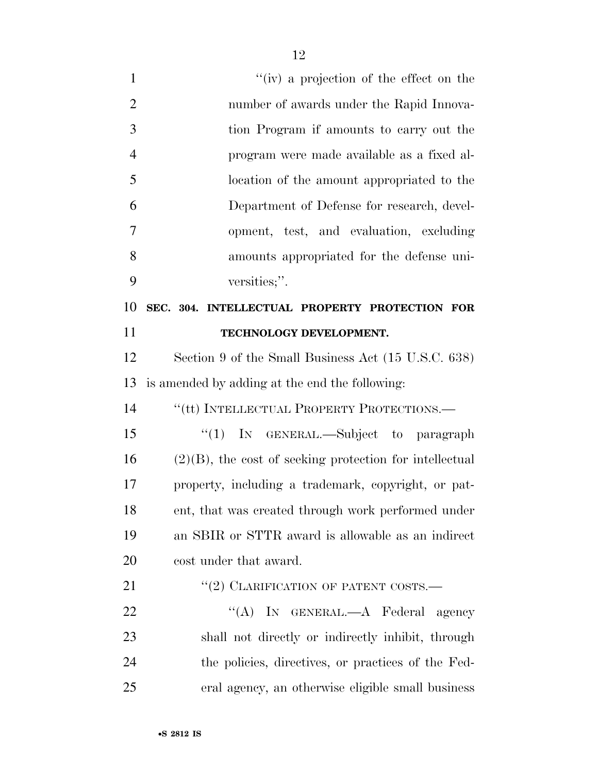1 ''(iv) a projection of the effect on the number of awards under the Rapid Innova- tion Program if amounts to carry out the program were made available as a fixed al- location of the amount appropriated to the Department of Defense for research, devel- opment, test, and evaluation, excluding amounts appropriated for the defense uni- versities;''. **SEC. 304. INTELLECTUAL PROPERTY PROTECTION FOR TECHNOLOGY DEVELOPMENT.**  Section 9 of the Small Business Act (15 U.S.C. 638) is amended by adding at the end the following: 14 "(tt) INTELLECTUAL PROPERTY PROTECTIONS.— ''(1) IN GENERAL.—Subject to paragraph (2)(B), the cost of seeking protection for intellectual property, including a trademark, copyright, or pat- ent, that was created through work performed under an SBIR or STTR award is allowable as an indirect cost under that award. 21 "(2) CLARIFICATION OF PATENT COSTS.— 22 "'(A) IN GENERAL.—A Federal agency shall not directly or indirectly inhibit, through the policies, directives, or practices of the Fed-

eral agency, an otherwise eligible small business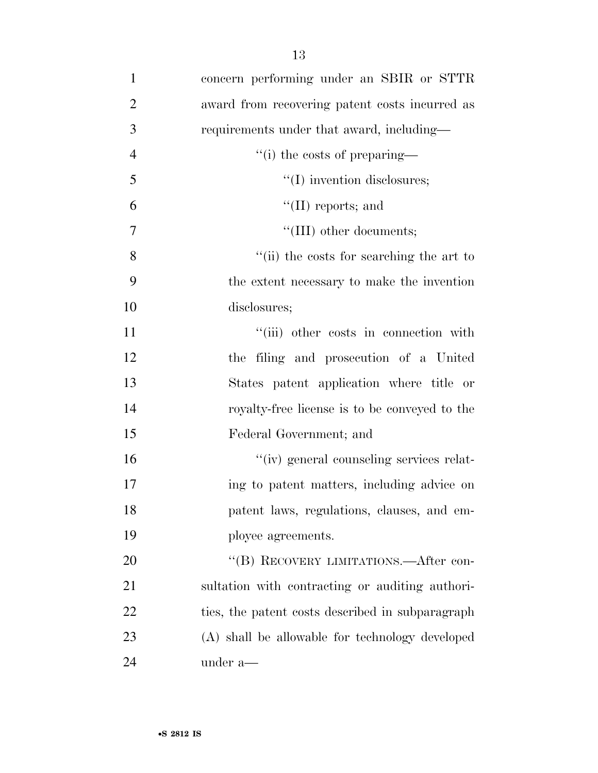| $\mathbf{1}$   | concern performing under an SBIR or STTR         |
|----------------|--------------------------------------------------|
| $\overline{2}$ | award from recovering patent costs incurred as   |
| 3              | requirements under that award, including—        |
| $\overline{4}$ | "(i) the costs of preparing—                     |
| 5              | $\lq\lq$ (I) invention disclosures;              |
| 6              | $\lq\lq$ (II) reports; and                       |
| $\tau$         | "(III) other documents;                          |
| 8              | "(ii) the costs for searching the art to         |
| 9              | the extent necessary to make the invention       |
| 10             | disclosures;                                     |
| 11             | "(iii) other costs in connection with            |
| 12             | the filing and prosecution of a United           |
| 13             | States patent application where title or         |
| 14             | royalty-free license is to be conveyed to the    |
| 15             | Federal Government; and                          |
| 16             | "(iv) general counseling services relat-         |
| 17             | ing to patent matters, including advice on       |
| 18             | patent laws, regulations, clauses, and em-       |
| 19             | ployee agreements.                               |
| 20             | "(B) RECOVERY LIMITATIONS.—After con-            |
| 21             | sultation with contracting or auditing authori-  |
| 22             | ties, the patent costs described in subparagraph |
| 23             | (A) shall be allowable for technology developed  |
| 24             | under a—                                         |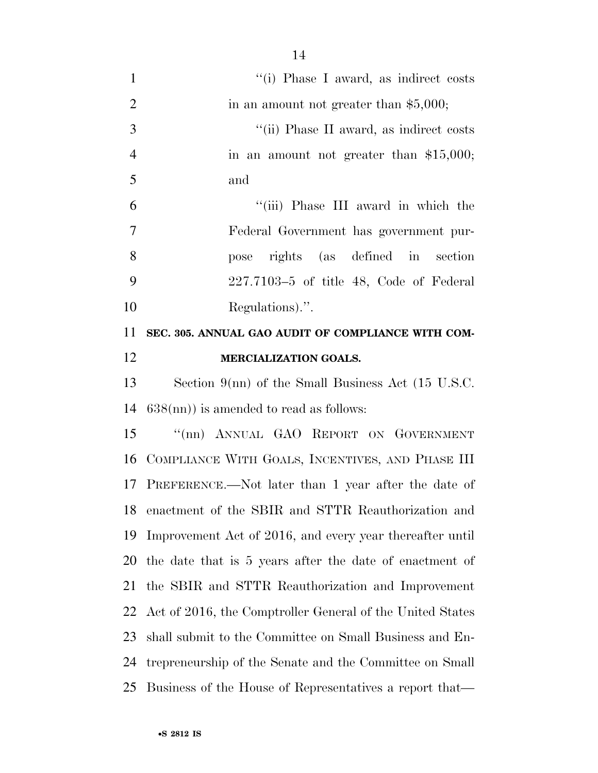1 ''(i) Phase I award, as indirect costs 2 in an amount not greater than  $$5,000;$ 3 ''(ii) Phase II award, as indirect costs 4 in an amount not greater than \$15,000; and ''(iii) Phase III award in which the Federal Government has government pur- pose rights (as defined in section 227.7103–5 of title 48, Code of Federal Regulations).''. **SEC. 305. ANNUAL GAO AUDIT OF COMPLIANCE WITH COM- MERCIALIZATION GOALS.**  Section 9(nn) of the Small Business Act (15 U.S.C. 638(nn)) is amended to read as follows: 15 "(nn) ANNUAL GAO REPORT ON GOVERNMENT COMPLIANCE WITH GOALS, INCENTIVES, AND PHASE III PREFERENCE.—Not later than 1 year after the date of enactment of the SBIR and STTR Reauthorization and

 Improvement Act of 2016, and every year thereafter until the date that is 5 years after the date of enactment of the SBIR and STTR Reauthorization and Improvement Act of 2016, the Comptroller General of the United States shall submit to the Committee on Small Business and En- trepreneurship of the Senate and the Committee on Small Business of the House of Representatives a report that—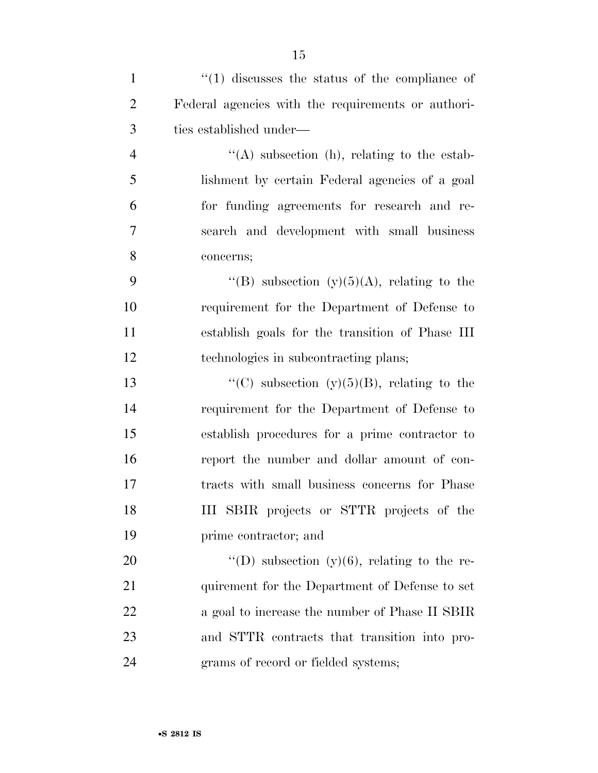| $\mathbf{1}$   | $\cdot$ (1) discusses the status of the compliance of |
|----------------|-------------------------------------------------------|
| $\overline{2}$ | Federal agencies with the requirements or authori-    |
| 3              | ties established under—                               |
| $\overline{4}$ | $\lq\lq$ subsection (h), relating to the estab-       |
| 5              | lishment by certain Federal agencies of a goal        |
| 6              | for funding agreements for research and re-           |
| $\overline{7}$ | search and development with small business            |
| 8              | concerns;                                             |
| 9              | "(B) subsection (y)(5)(A), relating to the            |
| 10             | requirement for the Department of Defense to          |
| 11             | establish goals for the transition of Phase III       |
| 12             | technologies in subcontracting plans;                 |
| 13             | "(C) subsection $(y)(5)(B)$ , relating to the         |
| 14             | requirement for the Department of Defense to          |
| 15             | establish procedures for a prime contractor to        |
| 16             | report the number and dollar amount of con-           |
| 17             | tracts with small business concerns for Phase         |
| 18             | III SBIR projects or STTR projects of the             |
| 19             | prime contractor; and                                 |
| 20             | "(D) subsection $(y)(6)$ , relating to the re-        |
| 21             | quirement for the Department of Defense to set        |
| 22             | a goal to increase the number of Phase II SBIR        |
| 23             | and STTR contracts that transition into pro-          |
| 24             | grams of record or fielded systems;                   |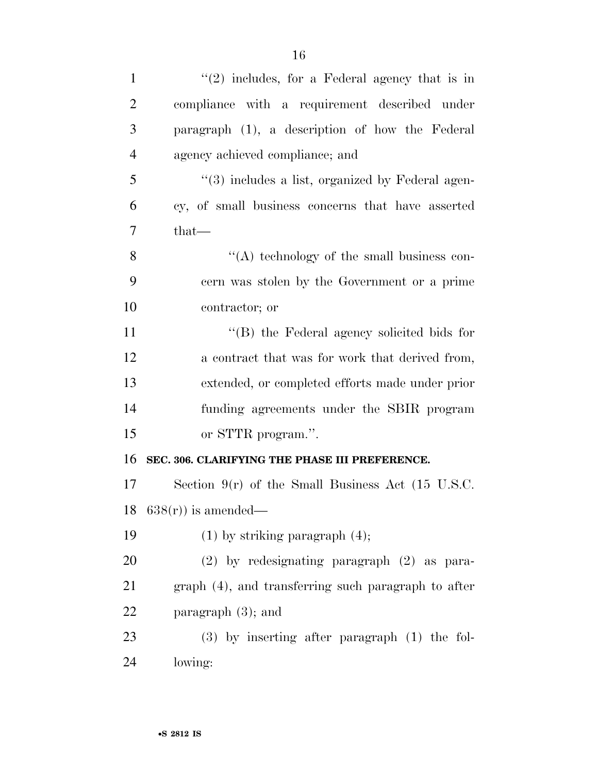| $\mathbf{1}$   | $\lq(2)$ includes, for a Federal agency that is in   |
|----------------|------------------------------------------------------|
| $\overline{2}$ | compliance with a requirement described under        |
| 3              | paragraph (1), a description of how the Federal      |
| $\overline{4}$ | agency achieved compliance; and                      |
| 5              | $\lq(3)$ includes a list, organized by Federal agen- |
| 6              | cy, of small business concerns that have asserted    |
| $\overline{7}$ | $that-$                                              |
| 8              | $\lq\lq$ technology of the small business con-       |
| 9              | cern was stolen by the Government or a prime         |
| 10             | contractor; or                                       |
| 11             | $\lq\lq$ (B) the Federal agency solicited bids for   |
| 12             | a contract that was for work that derived from,      |
| 13             | extended, or completed efforts made under prior      |
| 14             | funding agreements under the SBIR program            |
| 15             | or STTR program.".                                   |
| 16             | SEC. 306. CLARIFYING THE PHASE III PREFERENCE.       |
| 17             | Section $9(r)$ of the Small Business Act (15 U.S.C.  |
| 18             | $638(r)$ is amended—                                 |
| 19             | $(1)$ by striking paragraph $(4)$ ;                  |
| 20             | $(2)$ by redesignating paragraph $(2)$ as para-      |
| 21             | graph (4), and transferring such paragraph to after  |
| 22             | paragraph $(3)$ ; and                                |
| 23             | $(3)$ by inserting after paragraph $(1)$ the fol-    |
| 24             | lowing:                                              |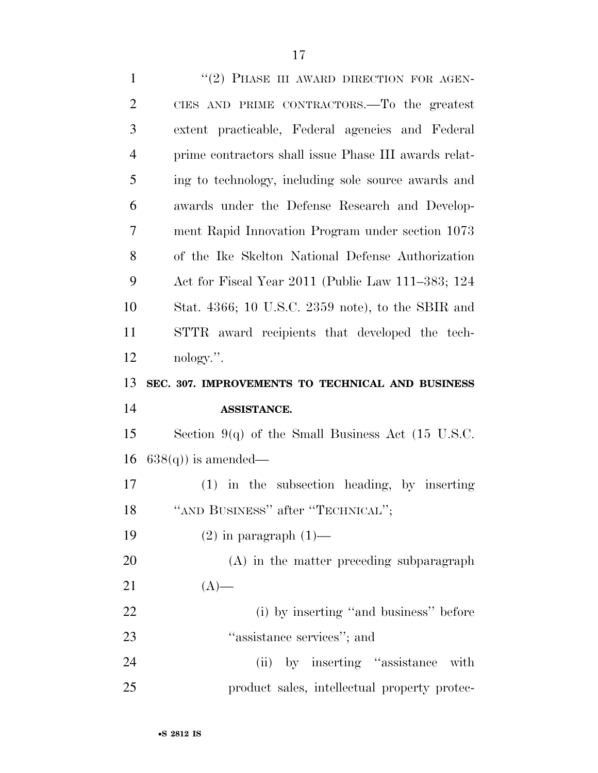| $\mathbf{1}$   | "(2) PHASE III AWARD DIRECTION FOR AGEN-                     |
|----------------|--------------------------------------------------------------|
| $\overline{2}$ | CIES AND PRIME CONTRACTORS.—To the greatest                  |
| 3              | extent practicable, Federal agencies and Federal             |
| $\overline{4}$ | prime contractors shall issue Phase III awards relat-        |
| 5              | ing to technology, including sole source awards and          |
| 6              | awards under the Defense Research and Develop-               |
| 7              | ment Rapid Innovation Program under section 1073             |
| 8              | of the Ike Skelton National Defense Authorization            |
| 9              | Act for Fiscal Year 2011 (Public Law 111–383; 124            |
| 10             | Stat. 4366; 10 U.S.C. 2359 note), to the SBIR and            |
| 11             | STTR award recipients that developed the tech-               |
| 12             | nology.".                                                    |
|                |                                                              |
| 13             | SEC. 307. IMPROVEMENTS TO TECHNICAL AND BUSINESS             |
| 14             | ASSISTANCE.                                                  |
| 15             | Section 9(q) of the Small Business Act $(15 \text{ U.S.C.})$ |
| 16             | $638(q)$ is amended—                                         |
| 17             | $(1)$ in the subsection heading, by inserting                |
| 18             | "AND BUSINESS" after "TECHNICAL";                            |
| 19             | $(2)$ in paragraph $(1)$ —                                   |
| 20             | (A) in the matter preceding subparagraph                     |
| 21             | $(A)$ —                                                      |
| 22             | (i) by inserting "and business" before                       |
| 23             | "assistance services"; and                                   |
| 24             | (ii) by inserting "assistance"<br>with                       |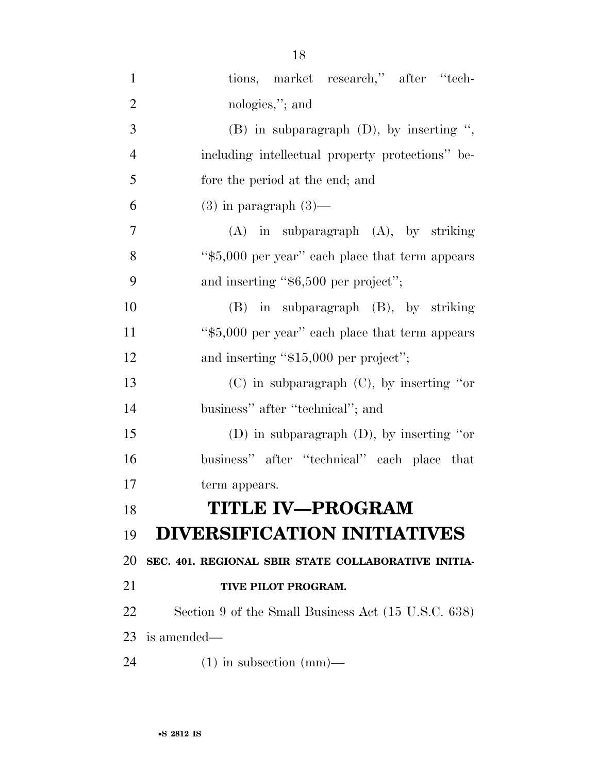| $\mathbf{1}$   | tions, market research," after "tech-               |
|----------------|-----------------------------------------------------|
| $\overline{2}$ | nologies,"; and                                     |
| 3              | $(B)$ in subparagraph $(D)$ , by inserting ",       |
| $\overline{4}$ | including intellectual property protections" be-    |
| 5              | fore the period at the end; and                     |
| 6              | $(3)$ in paragraph $(3)$ —                          |
| 7              | $(A)$ in subparagraph $(A)$ , by striking           |
| 8              | "\$5,000 per year" each place that term appears     |
| 9              | and inserting " $$6,500$ per project";              |
| 10             | $(B)$ in subparagraph $(B)$ , by striking           |
| 11             | "\$5,000 per year" each place that term appears     |
| 12             | and inserting "\$15,000 per project";               |
| 13             | $(C)$ in subparagraph $(C)$ , by inserting "or      |
| 14             | business" after "technical"; and                    |
| 15             | (D) in subparagraph $(D)$ , by inserting "or        |
| 16             | business" after "technical" each place that         |
| 17             | term appears.                                       |
| 18             | <b>TITLE IV-PROGRAM</b>                             |
| 19             | <b>DIVERSIFICATION INITIATIVES</b>                  |
| 20             | SEC. 401. REGIONAL SBIR STATE COLLABORATIVE INITIA- |
| 21             | TIVE PILOT PROGRAM.                                 |
| 22             | Section 9 of the Small Business Act (15 U.S.C. 638) |
| 23             | is amended—                                         |
| 24             | $(1)$ in subsection $(mm)$ —                        |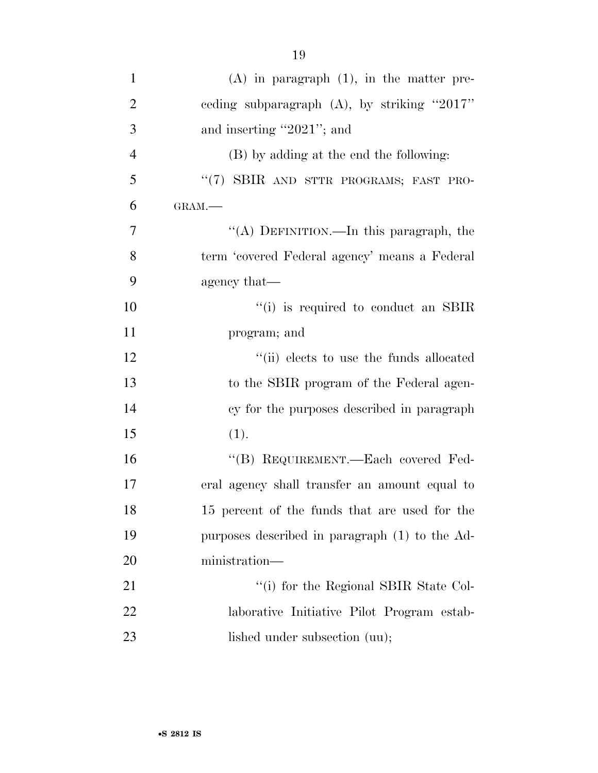| $\mathbf{1}$   | $(A)$ in paragraph $(1)$ , in the matter pre-  |
|----------------|------------------------------------------------|
| $\overline{2}$ | ceding subparagraph $(A)$ , by striking "2017" |
| 3              | and inserting "2021"; and                      |
| $\overline{4}$ | (B) by adding at the end the following:        |
| 5              | "(7) SBIR AND STTR PROGRAMS; FAST PRO-         |
| 6              | GRAM.-                                         |
| 7              | "(A) DEFINITION.—In this paragraph, the        |
| 8              | term 'covered Federal agency' means a Federal  |
| 9              | agency that—                                   |
| 10             | $\lq\lq$ (i) is required to conduct an SBIR    |
| 11             | program; and                                   |
| 12             | "(ii) elects to use the funds allocated        |
| 13             | to the SBIR program of the Federal agen-       |
| 14             | cy for the purposes described in paragraph     |
| 15             | (1).                                           |
| 16             | "(B) REQUIREMENT.—Each covered Fed-            |
| 17             | eral agency shall transfer an amount equal to  |
| 18             | 15 percent of the funds that are used for the  |
| 19             | purposes described in paragraph (1) to the Ad- |
| 20             | ministration-                                  |
| 21             | "(i) for the Regional SBIR State Col-          |
| 22             | laborative Initiative Pilot Program estab-     |
| 23             | lished under subsection (uu);                  |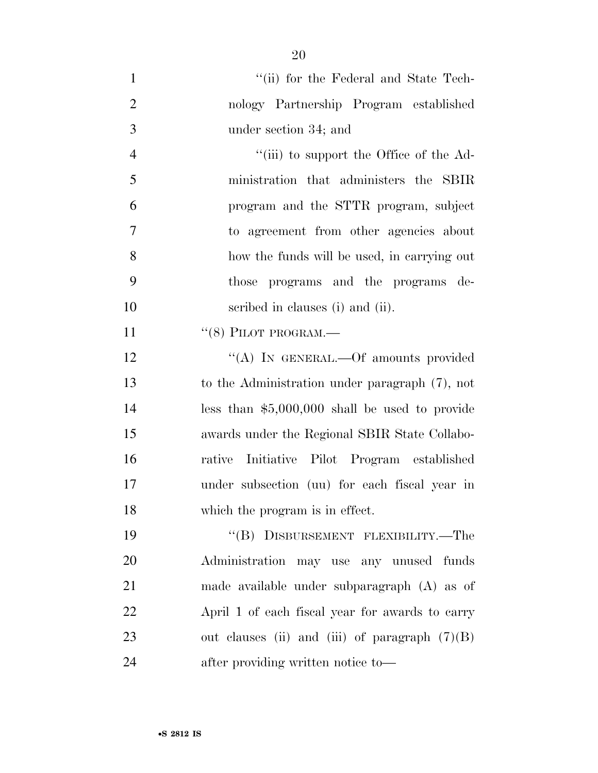| $\mathbf{1}$   | "(ii) for the Federal and State Tech-            |
|----------------|--------------------------------------------------|
| $\overline{2}$ | nology Partnership Program established           |
| 3              | under section 34; and                            |
| $\overline{4}$ | "(iii) to support the Office of the Ad-          |
| 5              | ministration that administers the SBIR           |
| 6              | program and the STTR program, subject            |
| $\overline{7}$ | to agreement from other agencies about           |
| 8              | how the funds will be used, in carrying out      |
| 9              | those programs and the programs de-              |
| 10             | scribed in clauses (i) and (ii).                 |
| 11             | $``(8)$ PILOT PROGRAM.—                          |
| 12             | "(A) IN GENERAL.—Of amounts provided             |
| 13             | to the Administration under paragraph (7), not   |
| 14             | less than $$5,000,000$ shall be used to provide  |
| 15             | awards under the Regional SBIR State Collabo-    |
| 16             | rative Initiative Pilot Program established      |
| 17             | under subsection (uu) for each fiscal year in    |
| 18             | which the program is in effect.                  |
| 19             | "(B) DISBURSEMENT FLEXIBILITY.—The               |
| 20             | Administration<br>may use any unused funds       |
| 21             | made available under subparagraph (A) as of      |
| 22             | April 1 of each fiscal year for awards to carry  |
| 23             | out clauses (ii) and (iii) of paragraph $(7)(B)$ |
| 24             | after providing written notice to-               |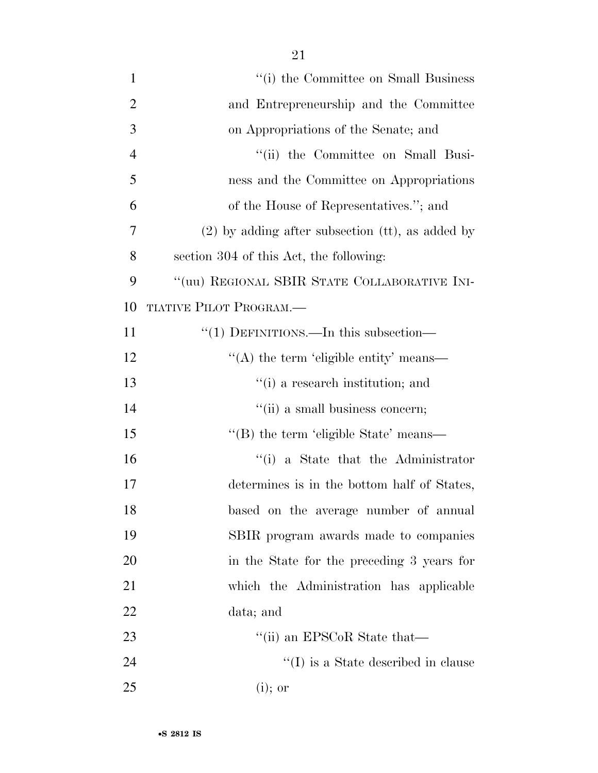| $\mathbf{1}$   | "(i) the Committee on Small Business               |
|----------------|----------------------------------------------------|
| $\overline{2}$ | and Entrepreneurship and the Committee             |
| 3              | on Appropriations of the Senate; and               |
| $\overline{4}$ | "(ii) the Committee on Small Busi-                 |
| 5              | ness and the Committee on Appropriations           |
| 6              | of the House of Representatives."; and             |
| 7              | $(2)$ by adding after subsection (tt), as added by |
| 8              | section 304 of this Act, the following:            |
| 9              | "(uu) REGIONAL SBIR STATE COLLABORATIVE INI-       |
| 10             | TIATIVE PILOT PROGRAM.—                            |
| 11             | "(1) DEFINITIONS.—In this subsection—              |
| 12             | "(A) the term 'eligible entity' means—             |
| 13             | "(i) a research institution; and                   |
| 14             | "(ii) a small business concern;                    |
| 15             | "(B) the term 'eligible State' means—              |
| 16             | "(i) a State that the Administrator                |
| 17             | determines is in the bottom half of States,        |
| 18             | based on the average number of annual              |
| 19             | SBIR program awards made to companies              |
| 20             | in the State for the preceding 3 years for         |
| 21             | which the Administration has applicable            |
| 22             | data; and                                          |
| 23             | "(ii) an EPSCoR State that—                        |
| 24             | $\lq\lq$ (I) is a State described in clause        |
| 25             | $(i)$ ; or                                         |
|                |                                                    |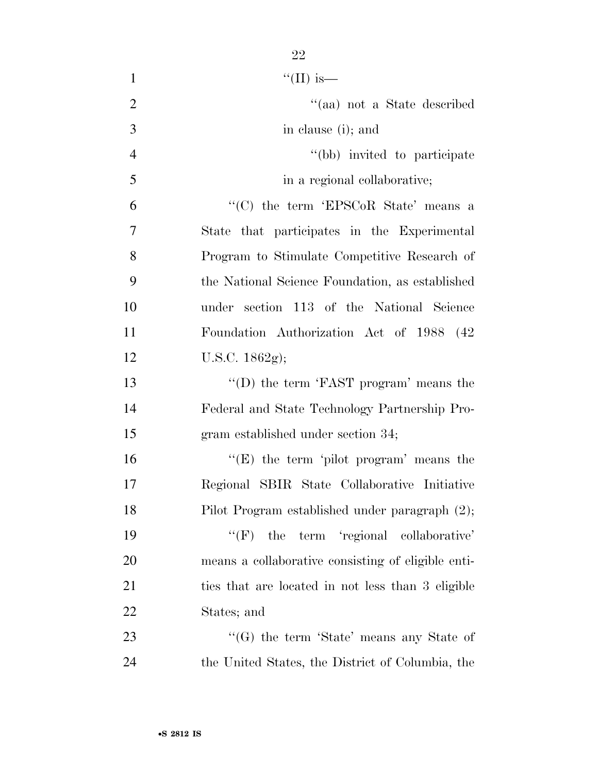| $\mathbf{1}$   | "(II) is—                                          |
|----------------|----------------------------------------------------|
| $\overline{2}$ | "(aa) not a State described                        |
| 3              | in clause (i); and                                 |
| $\overline{4}$ | "(bb) invited to participate                       |
| 5              | in a regional collaborative;                       |
| 6              | "(C) the term 'EPSCoR State' means a               |
| 7              | State that participates in the Experimental        |
| 8              | Program to Stimulate Competitive Research of       |
| 9              | the National Science Foundation, as established    |
| 10             | under section 113 of the National Science          |
| 11             | Foundation Authorization Act of 1988 (42)          |
| 12             | U.S.C. 1862g);                                     |
| 13             | "(D) the term 'FAST program' means the             |
| 14             | Federal and State Technology Partnership Pro-      |
| 15             | gram established under section 34;                 |
| 16             | " $(E)$ the term 'pilot program' means the         |
| 17             | Regional SBIR State Collaborative Initiative       |
| 18             | Pilot Program established under paragraph (2);     |
| 19             | the term 'regional collaborative'<br>``(F)         |
| 20             | means a collaborative consisting of eligible enti- |
|                |                                                    |

States; and

23 ''(G) the term 'State' means any State of the United States, the District of Columbia, the

ties that are located in not less than 3 eligible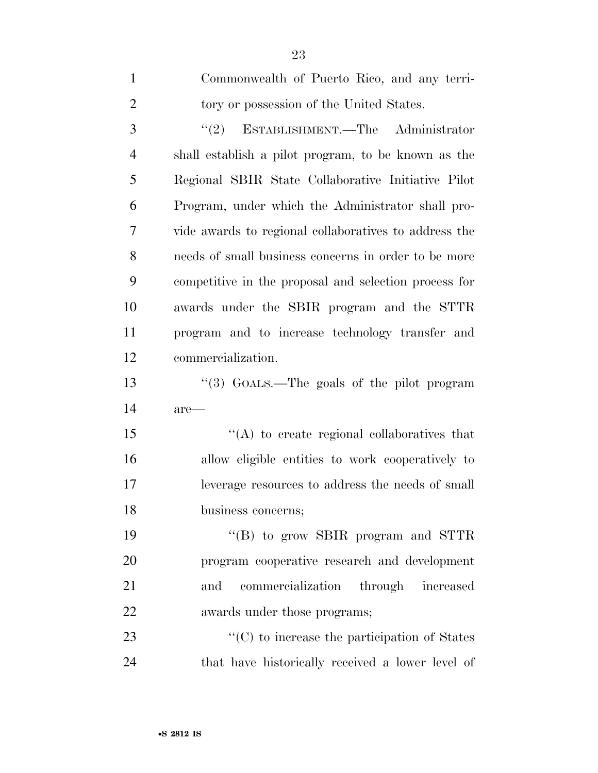| $\mathbf{1}$   | Commonwealth of Puerto Rico, and any terri-           |
|----------------|-------------------------------------------------------|
| $\overline{2}$ | tory or possession of the United States.              |
| 3              | "(2) ESTABLISHMENT.—The Administrator                 |
| $\overline{4}$ | shall establish a pilot program, to be known as the   |
| 5              | Regional SBIR State Collaborative Initiative Pilot    |
| 6              | Program, under which the Administrator shall pro-     |
| 7              | vide awards to regional collaboratives to address the |
| 8              | needs of small business concerns in order to be more  |
| 9              | competitive in the proposal and selection process for |
| 10             | awards under the SBIR program and the STTR            |
| 11             | program and to increase technology transfer and       |
| 12             | commercialization.                                    |
| 13             | "(3) GOALS.—The goals of the pilot program            |
| 14             | are—                                                  |
| 15             | $\lq\lq$ to create regional collaboratives that       |
| 16             | allow eligible entities to work cooperatively to      |
| 17             | leverage resources to address the needs of small      |
| 18             | business concerns;                                    |
| 19             | "(B) to grow SBIR program and STTR                    |
| 20             | program cooperative research and development          |
| 21             | commercialization through increased<br>and            |
| 22             | awards under those programs;                          |
| 23             | $\lq\lq$ (C) to increase the participation of States  |
| 24             | that have historically received a lower level of      |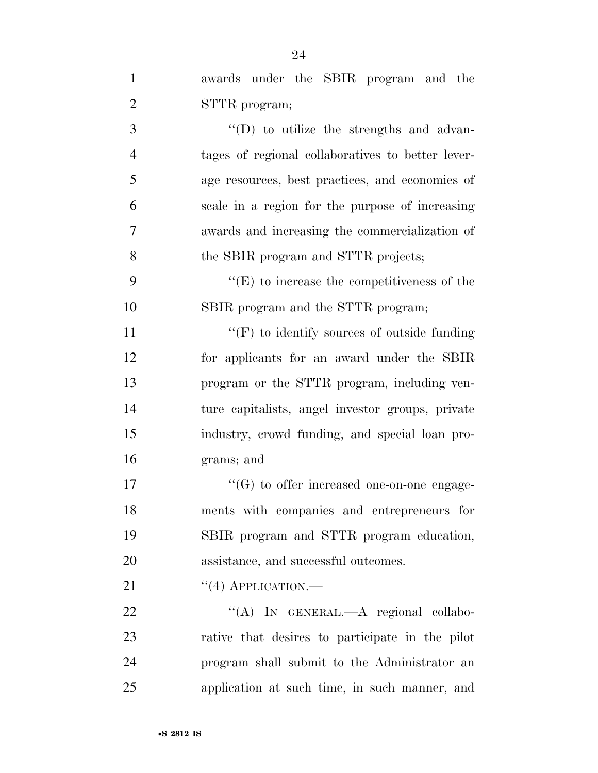| $\mathbf{1}$   | awards under the SBIR program and the              |
|----------------|----------------------------------------------------|
| $\overline{2}$ | STTR program;                                      |
| 3              | $\lq\lq$ to utilize the strengths and advan-       |
| $\overline{4}$ | tages of regional collaboratives to better lever-  |
| 5              | age resources, best practices, and economies of    |
| 6              | scale in a region for the purpose of increasing    |
| 7              | awards and increasing the commercialization of     |
| 8              | the SBIR program and STTR projects;                |
| 9              | $\lq\lq(E)$ to increase the competitiveness of the |
| 10             | SBIR program and the STTR program;                 |
| 11             | $\lq\lq(F)$ to identify sources of outside funding |
| 12             | for applicants for an award under the SBIR         |
| 13             | program or the STTR program, including ven-        |
| 14             | ture capitalists, angel investor groups, private   |
| 15             | industry, crowd funding, and special loan pro-     |
| 16             | grams; and                                         |
| 17             | $\lq\lq(G)$ to offer increased one-on-one engage-  |
| 18             | ments with companies and entrepreneurs for         |
| 19             | SBIR program and STTR program education,           |
| 20             | assistance, and successful outcomes.               |
| 21             | $``(4)$ APPLICATION.—                              |
| 22             | "(A) IN GENERAL.—A regional collabo-               |
| 23             | rative that desires to participate in the pilot    |
| 24             | program shall submit to the Administrator an       |
| 25             | application at such time, in such manner, and      |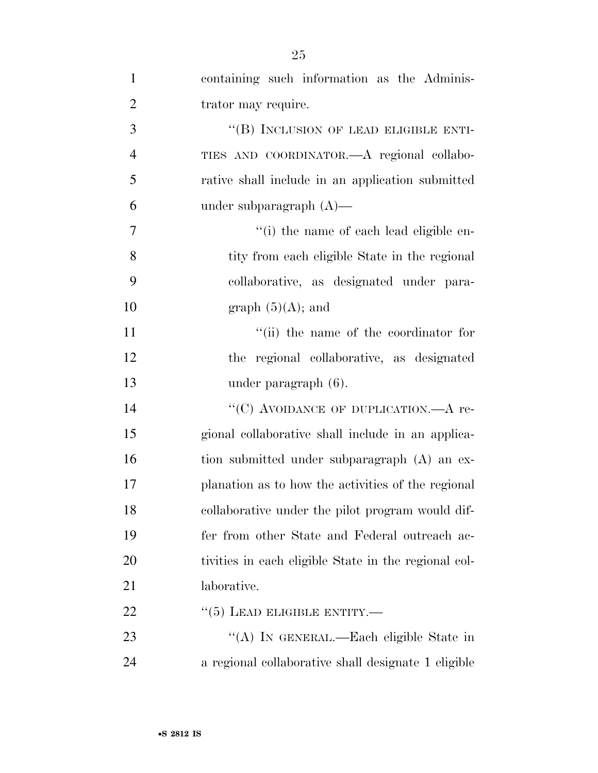| $\mathbf{1}$   | containing such information as the Adminis-          |
|----------------|------------------------------------------------------|
| $\overline{2}$ | trator may require.                                  |
| 3              | "(B) INCLUSION OF LEAD ELIGIBLE ENTI-                |
| $\overline{4}$ | TIES AND COORDINATOR.- A regional collabo-           |
| 5              | rative shall include in an application submitted     |
| 6              | under subparagraph $(A)$ —                           |
| 7              | "(i) the name of each lead eligible en-              |
| 8              | tity from each eligible State in the regional        |
| 9              | collaborative, as designated under para-             |
| 10             | graph $(5)(A)$ ; and                                 |
| 11             | "(ii) the name of the coordinator for                |
| 12             | the regional collaborative, as designated            |
| 13             | under paragraph (6).                                 |
| 14             | "(C) AVOIDANCE OF DUPLICATION.—A re-                 |
| 15             | gional collaborative shall include in an applica-    |
| 16             | tion submitted under subparagraph (A) an ex-         |
| 17             | planation as to how the activities of the regional   |
| 18             | collaborative under the pilot program would dif-     |
| 19             | fer from other State and Federal outreach ac-        |
| 20             | tivities in each eligible State in the regional col- |
| 21             | laborative.                                          |
| 22             | $\cdot\cdot$ (5) LEAD ELIGIBLE ENTITY.—              |
| 23             | "(A) IN GENERAL.—Each eligible State in              |
| 24             | a regional collaborative shall designate 1 eligible  |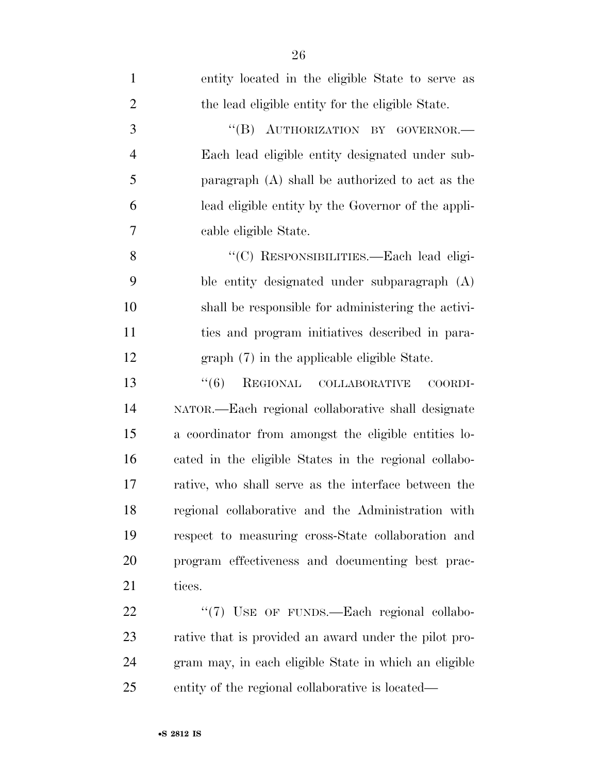| $\mathbf{1}$   | entity located in the eligible State to serve as      |
|----------------|-------------------------------------------------------|
| $\overline{2}$ | the lead eligible entity for the eligible State.      |
| 3              | "(B) AUTHORIZATION BY GOVERNOR.-                      |
| $\overline{4}$ | Each lead eligible entity designated under sub-       |
| 5              | paragraph (A) shall be authorized to act as the       |
| 6              | lead eligible entity by the Governor of the appli-    |
| 7              | cable eligible State.                                 |
| 8              | "(C) RESPONSIBILITIES.—Each lead eligi-               |
| 9              | ble entity designated under subparagraph (A)          |
| 10             | shall be responsible for administering the activi-    |
| 11             | ties and program initiatives described in para-       |
| 12             | graph (7) in the applicable eligible State.           |
| 13             | REGIONAL COLLABORATIVE<br>``(6)<br>COORDI-            |
| 14             | NATOR.—Each regional collaborative shall designate    |
| 15             | a coordinator from amongst the eligible entities lo-  |
| 16             | cated in the eligible States in the regional collabo- |
| 17             | rative, who shall serve as the interface between the  |
| 18             | regional collaborative and the Administration with    |
| 19             | respect to measuring cross-State collaboration and    |
| 20             | program effectiveness and documenting best prac-      |
| 21             | tices.                                                |
| 22             | "(7) USE OF FUNDS.—Each regional collabo-             |
| 23             | rative that is provided an award under the pilot pro- |
| 24             | gram may, in each eligible State in which an eligible |
| 25             | entity of the regional collaborative is located—      |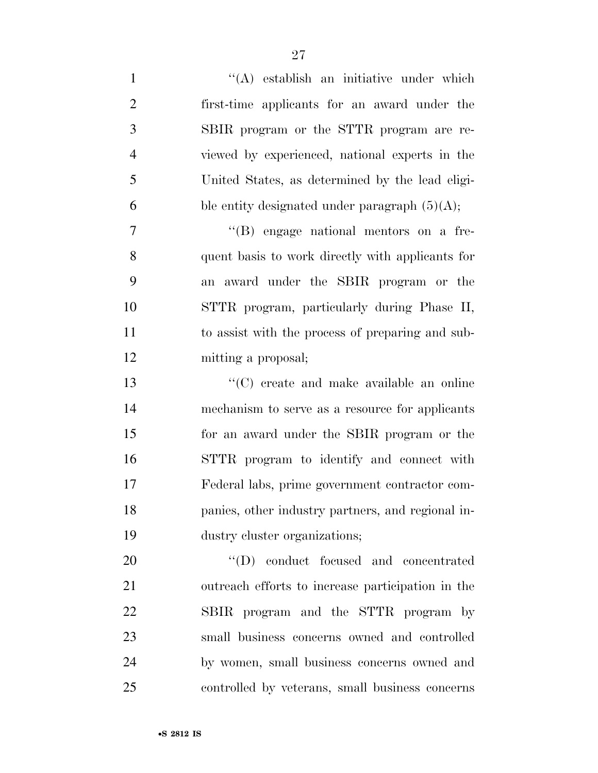1 ''(A) establish an initiative under which first-time applicants for an award under the SBIR program or the STTR program are re- viewed by experienced, national experts in the United States, as determined by the lead eligi-6 ble entity designated under paragraph  $(5)(A)$ ; ''(B) engage national mentors on a fre- quent basis to work directly with applicants for an award under the SBIR program or the STTR program, particularly during Phase II, to assist with the process of preparing and sub- mitting a proposal; ''(C) create and make available an online mechanism to serve as a resource for applicants for an award under the SBIR program or the STTR program to identify and connect with Federal labs, prime government contractor com- panies, other industry partners, and regional in- dustry cluster organizations;  $\text{``(D)} \quad \text{conduct} \quad \text{focused} \quad \text{and} \quad \text{concentrated}$  outreach efforts to increase participation in the SBIR program and the STTR program by

 small business concerns owned and controlled by women, small business concerns owned and controlled by veterans, small business concerns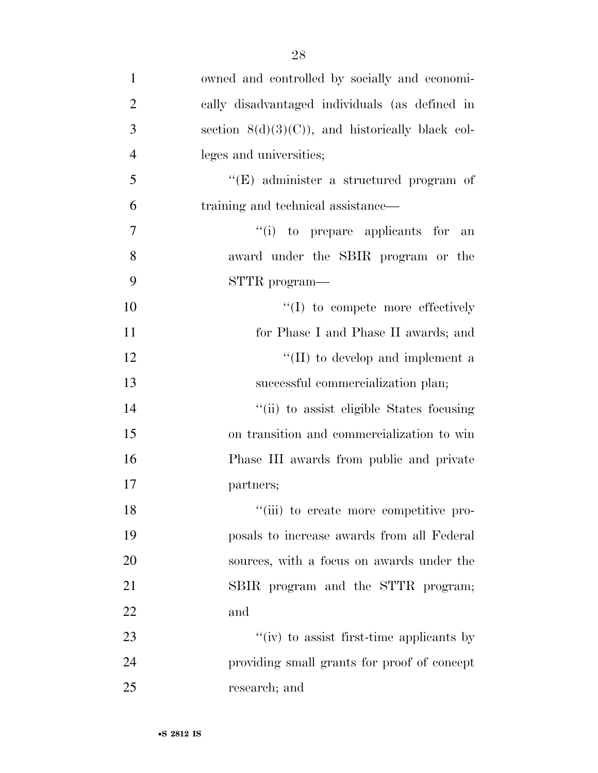| $\mathbf{1}$   | owned and controlled by socially and economi-      |
|----------------|----------------------------------------------------|
| $\overline{2}$ | cally disadvantaged individuals (as defined in     |
| 3              | section $8(d)(3)(C)$ , and historically black col- |
| $\overline{4}$ | leges and universities;                            |
| 5              | "(E) administer a structured program of            |
| 6              | training and technical assistance—                 |
| $\overline{7}$ | "(i) to prepare applicants for<br>an               |
| 8              | award under the SBIR program or the                |
| 9              | STTR program—                                      |
| 10             | $\lq\lq$ to compete more effectively               |
| 11             | for Phase I and Phase II awards; and               |
| 12             | "(II) to develop and implement a                   |
| 13             | successful commercialization plan;                 |
| 14             | "(ii) to assist eligible States focusing           |
| 15             | on transition and commercialization to win         |
| 16             | Phase III awards from public and private           |
| 17             | partners;                                          |
| 18             | "(iii) to create more competitive pro-             |
| 19             | posals to increase awards from all Federal         |
| 20             | sources, with a focus on awards under the          |
| 21             | SBIR program and the STTR program;                 |
| 22             | and                                                |
| 23             | "(iv) to assist first-time applicants by           |
| 24             | providing small grants for proof of concept        |
| 25             | research; and                                      |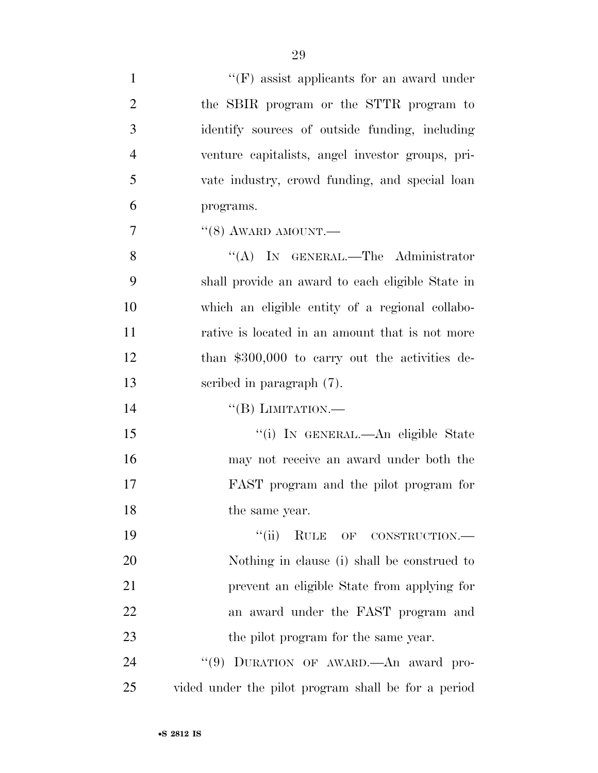| $\mathbf{1}$   | $\lq\lq(F)$ assist applicants for an award under    |
|----------------|-----------------------------------------------------|
| $\overline{2}$ | the SBIR program or the STTR program to             |
| 3              | identify sources of outside funding, including      |
| $\overline{4}$ | venture capitalists, angel investor groups, pri-    |
| 5              | vate industry, crowd funding, and special loan      |
| 6              | programs.                                           |
| 7              | $``(8)$ AWARD AMOUNT.—                              |
| 8              | "(A) IN GENERAL.—The Administrator                  |
| 9              | shall provide an award to each eligible State in    |
| 10             | which an eligible entity of a regional collabo-     |
| 11             | rative is located in an amount that is not more     |
| 12             | than \$300,000 to carry out the activities de-      |
| 13             | scribed in paragraph (7).                           |
| 14             | $\lq\lq (B)$ LIMITATION.—                           |
| 15             | "(i) IN GENERAL.—An eligible State                  |
| 16             | may not receive an award under both the             |
| 17             | FAST program and the pilot program for              |
| 18             | the same year.                                      |
| 19             | ``(ii)<br>RULE OF CONSTRUCTION.-                    |
| 20             | Nothing in clause (i) shall be construed to         |
| 21             | prevent an eligible State from applying for         |
| 22             | an award under the FAST program and                 |
| 23             | the pilot program for the same year.                |
| 24             | "(9) DURATION OF AWARD. An award pro-               |
| 25             | vided under the pilot program shall be for a period |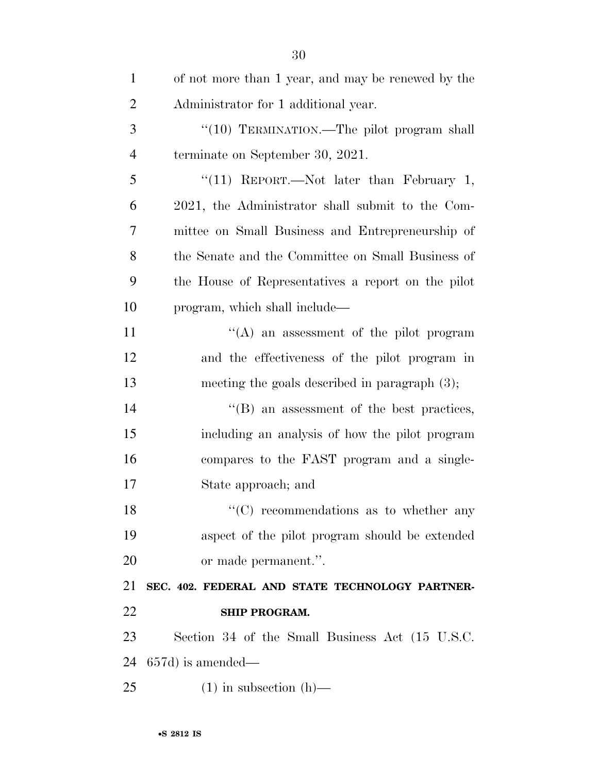| $\mathbf{1}$   | of not more than 1 year, and may be renewed by the |
|----------------|----------------------------------------------------|
| $\overline{2}$ | Administrator for 1 additional year.               |
| 3              | "(10) TERMINATION.—The pilot program shall         |
| $\overline{4}$ | terminate on September 30, 2021.                   |
| 5              | "(11) REPORT.—Not later than February 1,           |
| 6              | 2021, the Administrator shall submit to the Com-   |
| 7              | mittee on Small Business and Entrepreneurship of   |
| 8              | the Senate and the Committee on Small Business of  |
| 9              | the House of Representatives a report on the pilot |
| 10             | program, which shall include—                      |
| 11             | $\lq\lq$ an assessment of the pilot program        |
| 12             | and the effectiveness of the pilot program in      |
| 13             | meeting the goals described in paragraph $(3)$ ;   |
| 14             | $\lq\lq$ (B) an assessment of the best practices,  |
| 15             | including an analysis of how the pilot program     |
| 16             | compares to the FAST program and a single-         |
| 17             | State approach; and                                |
| 18             | $\lq\lq$ recommendations as to whether any         |
| 19             | aspect of the pilot program should be extended     |
| 20             | or made permanent.".                               |
| 21             | SEC. 402. FEDERAL AND STATE TECHNOLOGY PARTNER-    |
| 22             | <b>SHIP PROGRAM.</b>                               |
| 23             | Section 34 of the Small Business Act (15 U.S.C.    |
| 24             | $657d$ ) is amended—                               |
| 25             | $(1)$ in subsection $(h)$ —                        |
|                |                                                    |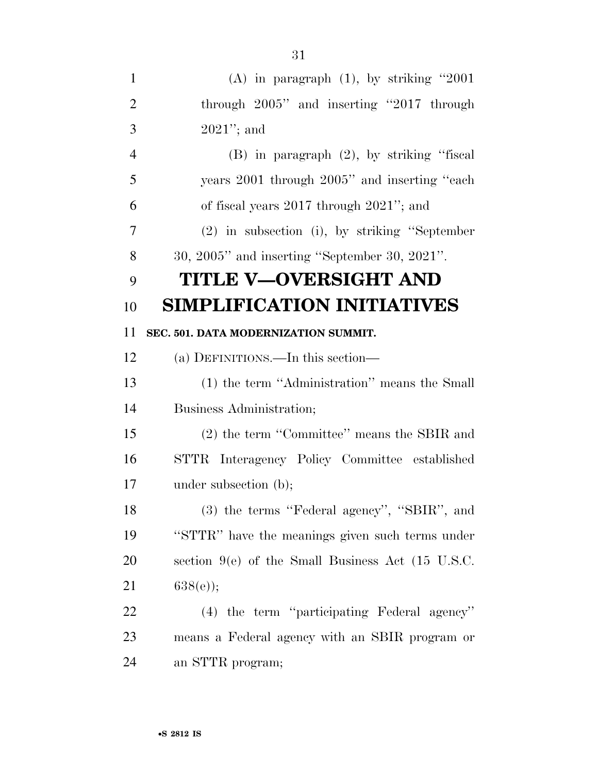| $\mathbf{1}$   | (A) in paragraph $(1)$ , by striking "2001          |
|----------------|-----------------------------------------------------|
| $\overline{2}$ | through 2005" and inserting "2017 through           |
| 3              | $2021$ "; and                                       |
| $\overline{4}$ | $(B)$ in paragraph $(2)$ , by striking "fiscal      |
| 5              | years 2001 through 2005" and inserting "each        |
| 6              | of fiscal years $2017$ through $2021$ "; and        |
| 7              | (2) in subsection (i), by striking "September       |
| 8              | $30, 2005$ " and inserting "September 30, $2021$ ". |
| 9              | TITLE V—OVERSIGHT AND                               |
| 10             | <b>SIMPLIFICATION INITIATIVES</b>                   |
| 11             | SEC. 501. DATA MODERNIZATION SUMMIT.                |
| 12             | (a) DEFINITIONS.—In this section—                   |
| 13             | (1) the term "Administration" means the Small       |
| 14             | Business Administration;                            |
| 15             | (2) the term "Committee" means the SBIR and         |
| 16             | STTR Interagency Policy Committee established       |
| 17             | under subsection (b);                               |
| 18             | (3) the terms "Federal agency", "SBIR", and         |
| 19             | "STTR" have the meanings given such terms under     |
| 20             | section $9(e)$ of the Small Business Act (15 U.S.C. |
| 21             | $638(e)$ ;                                          |
| 22             | (4) the term "participating Federal agency"         |
| 23             | means a Federal agency with an SBIR program or      |
| 24             | an STTR program;                                    |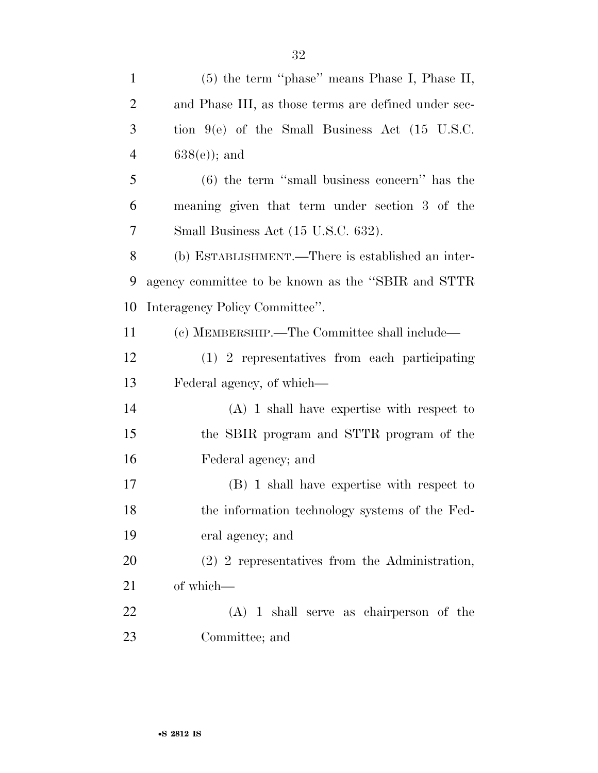| $\mathbf{1}$   | $(5)$ the term "phase" means Phase I, Phase II,             |
|----------------|-------------------------------------------------------------|
| $\overline{2}$ | and Phase III, as those terms are defined under sec-        |
| 3              | tion $9(e)$ of the Small Business Act $(15 \text{ U.S.C.})$ |
| $\overline{4}$ | $638(e)$ ; and                                              |
| $\mathfrak{S}$ | $(6)$ the term "small business concern" has the             |
| 6              | meaning given that term under section 3 of the              |
| 7              | Small Business Act (15 U.S.C. 632).                         |
| 8              | (b) ESTABLISHMENT.—There is established an inter-           |
| 9              | agency committee to be known as the "SBIR and STTR          |
| 10             | Interagency Policy Committee".                              |
| 11             | (c) MEMBERSHIP.—The Committee shall include—                |
| 12             | (1) 2 representatives from each participating               |
| 13             | Federal agency, of which—                                   |
| 14             | $(A)$ 1 shall have expertise with respect to                |
| 15             | the SBIR program and STTR program of the                    |
| 16             | Federal agency; and                                         |
| $17\,$         | (B) 1 shall have expertise with respect to                  |
| 18             | the information technology systems of the Fed-              |
| 19             | eral agency; and                                            |
| 20             | $(2)$ 2 representatives from the Administration,            |
| 21             | of which-                                                   |
| 22             | $(A)$ 1 shall serve as chairperson of the                   |
| 23             | Committee; and                                              |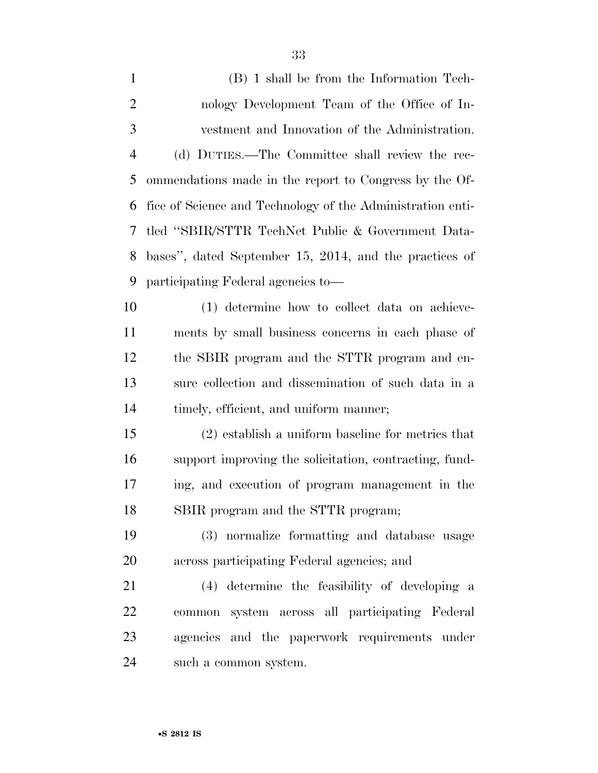| $\mathbf{1}$   | (B) 1 shall be from the Information Tech-                  |
|----------------|------------------------------------------------------------|
| $\overline{2}$ | nology Development Team of the Office of In-               |
| 3              | vestment and Innovation of the Administration.             |
| $\overline{4}$ | (d) DUTIES.—The Committee shall review the rec-            |
| 5              | ommendations made in the report to Congress by the Of-     |
| 6              | fice of Science and Technology of the Administration enti- |
| 7              | tled "SBIR/STTR TechNet Public & Government Data-          |
| 8              | bases", dated September 15, 2014, and the practices of     |
| 9              | participating Federal agencies to-                         |
| 10             | (1) determine how to collect data on achieve-              |
| 11             | ments by small business concerns in each phase of          |
| 12             | the SBIR program and the STTR program and en-              |
| 13             | sure collection and dissemination of such data in a        |
| 14             | timely, efficient, and uniform manner;                     |
| 15             | (2) establish a uniform baseline for metrics that          |
| 16             | support improving the solicitation, contracting, fund-     |
| 17             | ing, and execution of program management in the            |
| 18             | SBIR program and the STTR program;                         |
| 19             | (3) normalize formatting and database usage                |
| 20             | across participating Federal agencies; and                 |
| 21             | (4) determine the feasibility of developing a              |
| 22             | common system across all participating Federal             |
| 23             | agencies and the paperwork requirements under              |
| 24             | such a common system.                                      |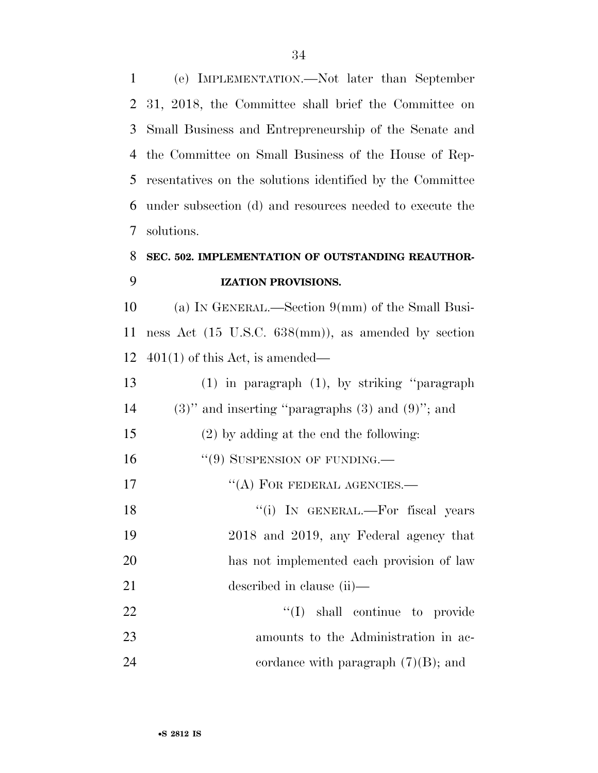(e) IMPLEMENTATION.—Not later than September 31, 2018, the Committee shall brief the Committee on Small Business and Entrepreneurship of the Senate and the Committee on Small Business of the House of Rep- resentatives on the solutions identified by the Committee under subsection (d) and resources needed to execute the solutions.

# **SEC. 502. IMPLEMENTATION OF OUTSTANDING REAUTHOR-IZATION PROVISIONS.**

 (a) IN GENERAL.—Section 9(mm) of the Small Busi- ness Act (15 U.S.C. 638(mm)), as amended by section 12  $401(1)$  of this Act, is amended—

 (1) in paragraph (1), by striking ''paragraph 14 (3)" and inserting "paragraphs  $(3)$  and  $(9)$ "; and (2) by adding at the end the following: 16 "(9) SUSPENSION OF FUNDING.— 17 "(A) FOR FEDERAL AGENCIES.— 18 ''(i) IN GENERAL.—For fiscal years 2018 and 2019, any Federal agency that has not implemented each provision of law described in clause (ii)— 22 ''(I) shall continue to provide amounts to the Administration in ac-

24 cordance with paragraph  $(7)(B)$ ; and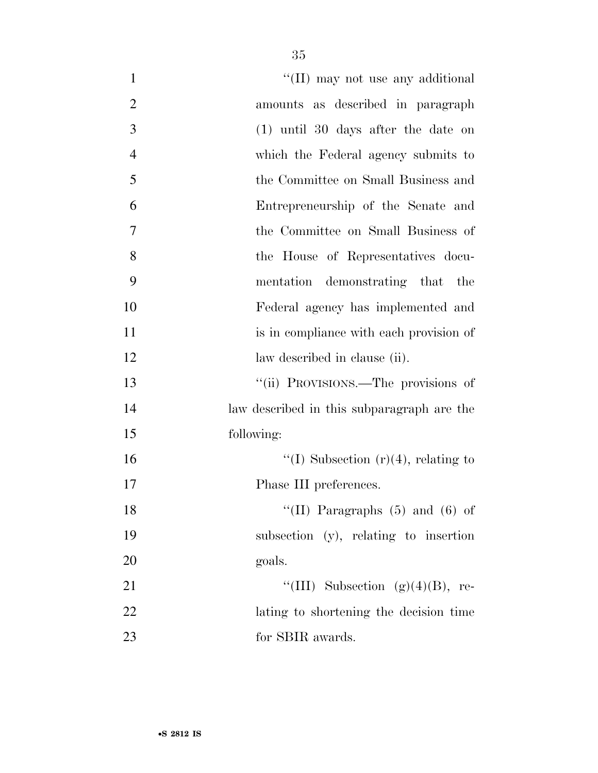| $\mathbf{1}$   | "(II) may not use any additional           |
|----------------|--------------------------------------------|
| $\overline{2}$ | amounts as described in paragraph          |
| 3              | $(1)$ until 30 days after the date on      |
| $\overline{4}$ | which the Federal agency submits to        |
| 5              | the Committee on Small Business and        |
| 6              | Entrepreneurship of the Senate and         |
| 7              | the Committee on Small Business of         |
| 8              | the House of Representatives docu-         |
| 9              | mentation demonstrating that the           |
| 10             | Federal agency has implemented and         |
| 11             | is in compliance with each provision of    |
| 12             | law described in clause (ii).              |
| 13             | "(ii) PROVISIONS.—The provisions of        |
| 14             | law described in this subparagraph are the |
| 15             | following:                                 |
| 16             | "(I) Subsection $(r)(4)$ , relating to     |
| 17             | Phase III preferences.                     |
| 18             | "(II) Paragraphs $(5)$ and $(6)$ of        |
| 19             | subsection (y), relating to insertion      |
| 20             | goals.                                     |
| 21             | "(III) Subsection $(g)(4)(B)$ , re-        |
| 22             | lating to shortening the decision time     |
| 23             | for SBIR awards.                           |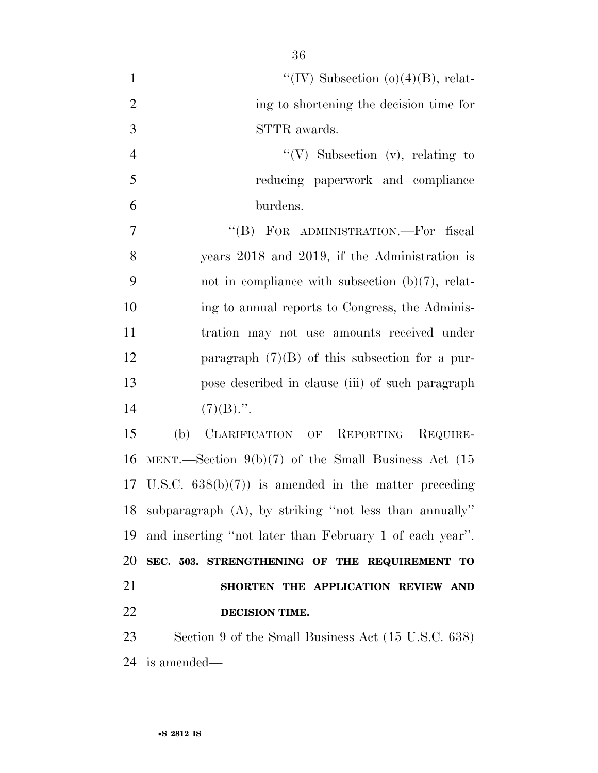$\text{``(IV)}$  Subsection (o)(4)(B), relat- ing to shortening the decision time for STTR awards. 4 ''(V) Subsection (v), relating to reducing paperwork and compliance burdens. 7 "'(B) FOR ADMINISTRATION.—For fiscal years 2018 and 2019, if the Administration is not in compliance with subsection (b)(7), relat- ing to annual reports to Congress, the Adminis- tration may not use amounts received under paragraph (7)(B) of this subsection for a pur- pose described in clause (iii) of such paragraph  $(7)(B)$ .". (b) CLARIFICATION OF REPORTING REQUIRE-

 MENT.—Section 9(b)(7) of the Small Business Act (15 U.S.C. 638(b)(7)) is amended in the matter preceding subparagraph (A), by striking ''not less than annually'' and inserting ''not later than February 1 of each year''. **SEC. 503. STRENGTHENING OF THE REQUIREMENT TO SHORTEN THE APPLICATION REVIEW AND DECISION TIME.** 

 Section 9 of the Small Business Act (15 U.S.C. 638) is amended—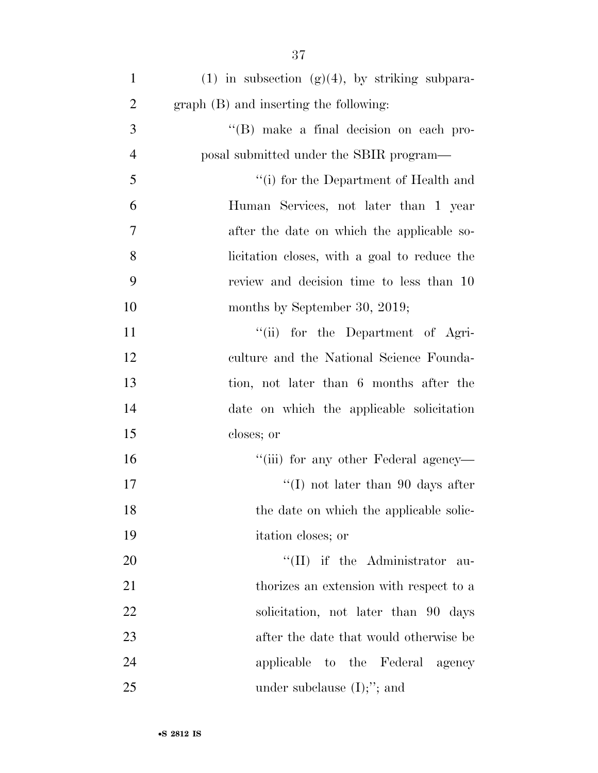| $\mathbf{1}$   | $(1)$ in subsection $(g)(4)$ , by striking subpara- |
|----------------|-----------------------------------------------------|
| $\overline{2}$ | graph (B) and inserting the following:              |
| 3              | "(B) make a final decision on each pro-             |
| $\overline{4}$ | posal submitted under the SBIR program—             |
| 5              | $\lq\lq(i)$ for the Department of Health and        |
| 6              | Human Services, not later than 1 year               |
| $\overline{7}$ | after the date on which the applicable so-          |
| 8              | licitation closes, with a goal to reduce the        |
| 9              | review and decision time to less than 10            |
| 10             | months by September 30, 2019;                       |
| 11             | "(ii) for the Department of Agri-                   |
| 12             | culture and the National Science Founda-            |
| 13             | tion, not later than 6 months after the             |
| 14             | date on which the applicable solicitation           |
| 15             | closes; or                                          |
| 16             | "(iii) for any other Federal agency-                |
| 17             | $\lq (I)$ not later than 90 days after              |
| 18             | the date on which the applicable solic-             |
| 19             | itation closes; or                                  |
| 20             | $\lq\lq$ (II) if the Administrator<br>au-           |
| 21             | thorizes an extension with respect to a             |
| 22             | solicitation, not later than 90 days                |
| 23             | after the date that would otherwise be              |
| 24             | applicable to the Federal<br>agency                 |
| 25             | under subclause $(I)$ ;"; and                       |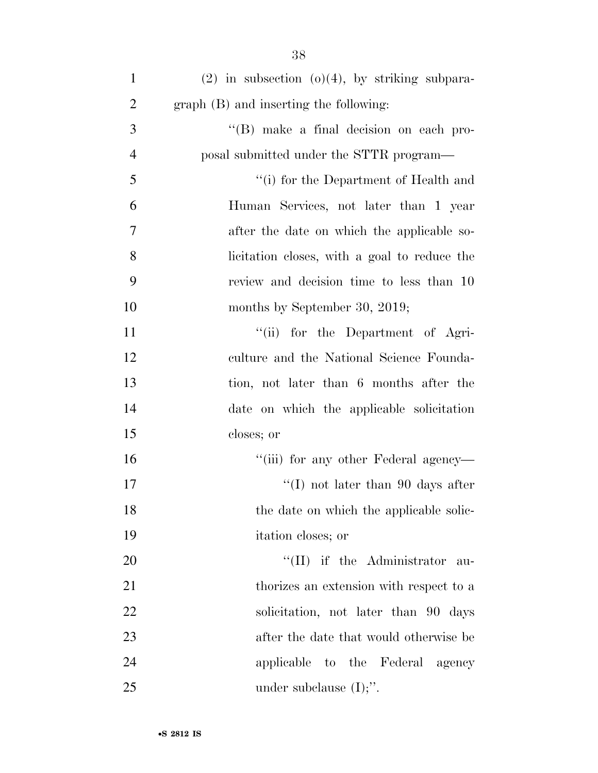| $\mathbf{1}$   | $(2)$ in subsection $(0)(4)$ , by striking subpara- |
|----------------|-----------------------------------------------------|
| $\overline{2}$ | graph (B) and inserting the following:              |
| 3              | "(B) make a final decision on each pro-             |
| $\overline{4}$ | posal submitted under the STTR program—             |
| 5              | "(i) for the Department of Health and               |
| 6              | Human Services, not later than 1 year               |
| $\tau$         | after the date on which the applicable so-          |
| 8              | licitation closes, with a goal to reduce the        |
| 9              | review and decision time to less than 10            |
| 10             | months by September 30, 2019;                       |
| 11             | "(ii) for the Department of Agri-                   |
| 12             | culture and the National Science Founda-            |
| 13             | tion, not later than 6 months after the             |
| 14             | date on which the applicable solicitation           |
| 15             | closes; or                                          |
| 16             | "(iii) for any other Federal agency—                |
| 17             | "(I) not later than 90 days after                   |
| 18             | the date on which the applicable solic-             |
| 19             | itation closes; or                                  |
| 20             | $\lq\lq$ (II) if the Administrator<br>au-           |
| 21             | thorizes an extension with respect to a             |
| 22             | solicitation, not later than 90 days                |
| 23             | after the date that would otherwise be              |
| 24             | applicable to the Federal<br>agency                 |
| 25             | under subclause $(I)$ ;".                           |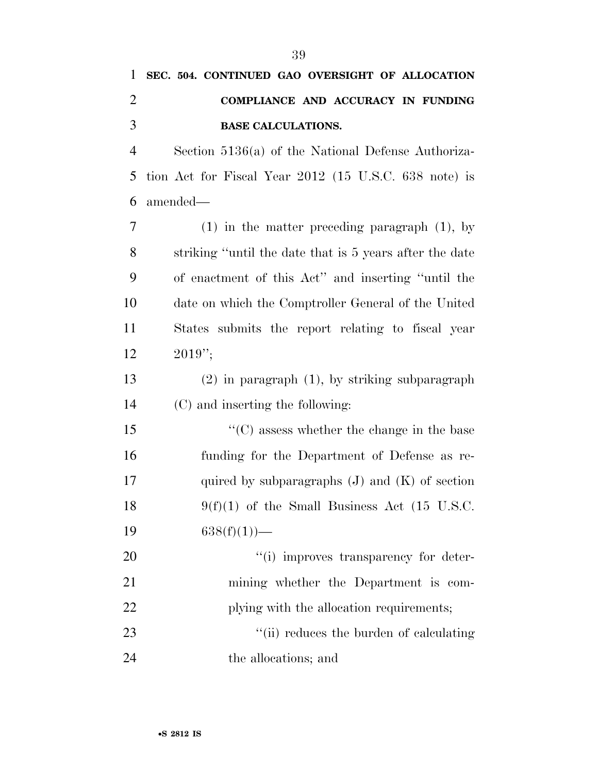| $\mathbf{1}$   | SEC. 504. CONTINUED GAO OVERSIGHT OF ALLOCATION         |
|----------------|---------------------------------------------------------|
| $\overline{2}$ | COMPLIANCE AND ACCURACY IN FUNDING                      |
| 3              | <b>BASE CALCULATIONS.</b>                               |
| $\overline{4}$ | Section $5136(a)$ of the National Defense Authoriza-    |
| 5              | tion Act for Fiscal Year 2012 (15 U.S.C. 638 note) is   |
| 6              | amended—                                                |
| 7              | $(1)$ in the matter preceding paragraph $(1)$ , by      |
| 8              | striking "until the date that is 5 years after the date |
| 9              | of enactment of this Act" and inserting "until the      |
| 10             | date on which the Comptroller General of the United     |
| 11             | States submits the report relating to fiscal year       |
| 12             | $2019$ ";                                               |
| 13             | $(2)$ in paragraph $(1)$ , by striking subparagraph     |
| 14             | (C) and inserting the following:                        |
| 15             | $\lq\lq$ (C) assess whether the change in the base      |
| 16             | funding for the Department of Defense as re-            |
| 17             | quired by subparagraphs $(J)$ and $(K)$ of section      |
| 18             | $9(f)(1)$ of the Small Business Act (15 U.S.C.          |
| 19             | $638(f)(1)$ —                                           |
| 20             | "(i) improves transparency for deter-                   |

 mining whether the Department is com-22 plying with the allocation requirements; 23 ''(ii) reduces the burden of calculating

the allocations; and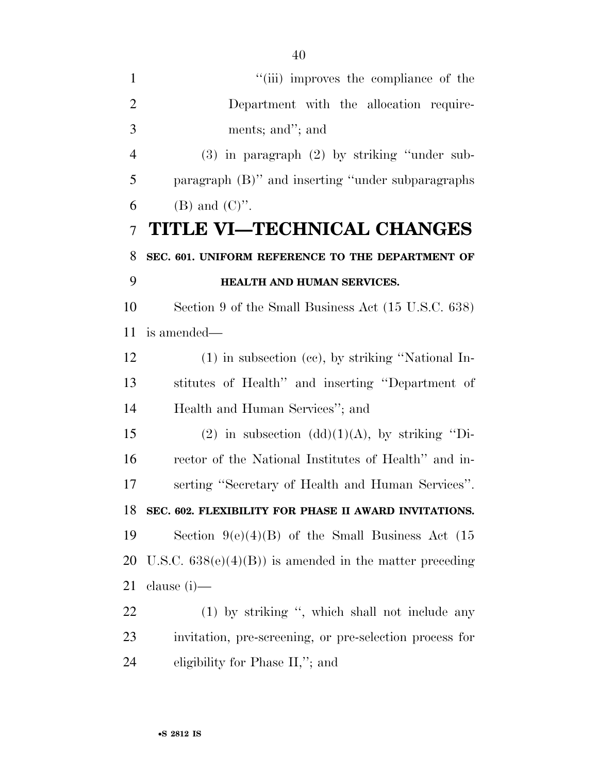| $\mathbf{1}$   | "(iii) improves the compliance of the                    |
|----------------|----------------------------------------------------------|
| $\overline{2}$ | Department with the allocation require-                  |
| 3              | ments; and"; and                                         |
| $\overline{4}$ | $(3)$ in paragraph $(2)$ by striking "under sub-         |
| 5              | paragraph (B)" and inserting "under subparagraphs        |
| 6              | $(B)$ and $(C)$ ".                                       |
| $\overline{7}$ | TITLE VI—TECHNICAL CHANGES                               |
| 8              | SEC. 601. UNIFORM REFERENCE TO THE DEPARTMENT OF         |
| 9              | HEALTH AND HUMAN SERVICES.                               |
| 10             | Section 9 of the Small Business Act (15 U.S.C. 638)      |
| 11             | is amended—                                              |
| 12             | $(1)$ in subsection (cc), by striking "National In-      |
| 13             | stitutes of Health" and inserting "Department of         |
| 14             | Health and Human Services"; and                          |
| 15             | (2) in subsection $(dd)(1)(A)$ , by striking "Di-        |
| 16             | rector of the National Institutes of Health" and in-     |
| 17             | serting "Secretary of Health and Human Services".        |
| 18             | SEC. 602. FLEXIBILITY FOR PHASE II AWARD INVITATIONS.    |
| 19             | Section $9(e)(4)(B)$ of the Small Business Act (15       |
| 20             | U.S.C. $638(e)(4)(B)$ is amended in the matter preceding |
| 21             | clause $(i)$ —                                           |
| 22             | (1) by striking ", which shall not include any           |
| 23             | invitation, pre-screening, or pre-selection process for  |
| 24             | eligibility for Phase II,"; and                          |